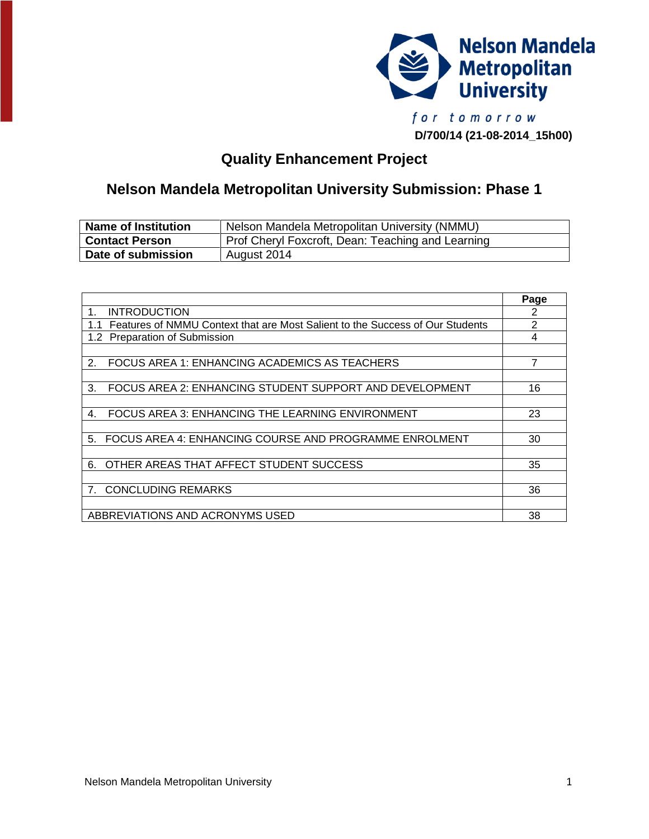

**D/700/14 (21-08-2014\_15h00)**

# **Quality Enhancement Project**

# **Nelson Mandela Metropolitan University Submission: Phase 1**

| <b>Name of Institution</b> | Nelson Mandela Metropolitan University (NMMU)     |
|----------------------------|---------------------------------------------------|
| <b>Contact Person</b>      | Prof Cheryl Foxcroft, Dean: Teaching and Learning |
| Date of submission         | August 2014                                       |

|                                                                               | Page |
|-------------------------------------------------------------------------------|------|
| <b>INTRODUCTION</b><br>1.                                                     | 2    |
| Features of NMMU Context that are Most Salient to the Success of Our Students | 2    |
| <b>Preparation of Submission</b><br>1.2 <sub>1</sub>                          | 4    |
|                                                                               |      |
| FOCUS AREA 1: ENHANCING ACADEMICS AS TEACHERS<br>2.                           | 7    |
|                                                                               |      |
| FOCUS AREA 2: ENHANCING STUDENT SUPPORT AND DEVELOPMENT<br>3.                 | 16   |
|                                                                               |      |
| FOCUS AREA 3: ENHANCING THE LEARNING ENVIRONMENT<br>4.                        | 23   |
|                                                                               |      |
| FOCUS AREA 4: ENHANCING COURSE AND PROGRAMME ENROLMENT<br>5.                  | 30   |
|                                                                               |      |
| OTHER AREAS THAT AFFECT STUDENT SUCCESS<br>6.                                 | 35   |
|                                                                               |      |
| <b>CONCLUDING REMARKS</b><br>7 <sub>1</sub>                                   | 36   |
|                                                                               |      |
| ABBREVIATIONS AND ACRONYMS USED                                               | 38   |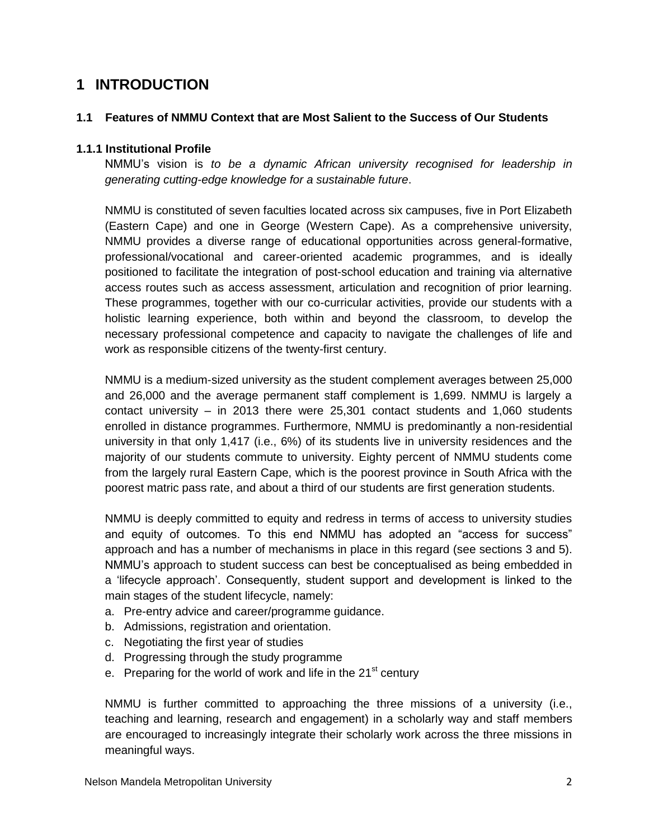## **1 INTRODUCTION**

#### **1.1 Features of NMMU Context that are Most Salient to the Success of Our Students**

#### **1.1.1 Institutional Profile**

NMMU's vision is *to be a dynamic African university recognised for leadership in generating cutting-edge knowledge for a sustainable future*.

NMMU is constituted of seven faculties located across six campuses, five in Port Elizabeth (Eastern Cape) and one in George (Western Cape). As a comprehensive university, NMMU provides a diverse range of educational opportunities across general-formative, professional/vocational and career-oriented academic programmes, and is ideally positioned to facilitate the integration of post-school education and training via alternative access routes such as access assessment, articulation and recognition of prior learning. These programmes, together with our co-curricular activities, provide our students with a holistic learning experience, both within and beyond the classroom, to develop the necessary professional competence and capacity to navigate the challenges of life and work as responsible citizens of the twenty-first century.

NMMU is a medium-sized university as the student complement averages between 25,000 and 26,000 and the average permanent staff complement is 1,699. NMMU is largely a contact university – in 2013 there were 25,301 contact students and 1,060 students enrolled in distance programmes. Furthermore, NMMU is predominantly a non-residential university in that only 1,417 (i.e., 6%) of its students live in university residences and the majority of our students commute to university. Eighty percent of NMMU students come from the largely rural Eastern Cape, which is the poorest province in South Africa with the poorest matric pass rate, and about a third of our students are first generation students.

NMMU is deeply committed to equity and redress in terms of access to university studies and equity of outcomes. To this end NMMU has adopted an "access for success" approach and has a number of mechanisms in place in this regard (see sections 3 and 5). NMMU's approach to student success can best be conceptualised as being embedded in a 'lifecycle approach'. Consequently, student support and development is linked to the main stages of the student lifecycle, namely:

- a. Pre-entry advice and career/programme guidance.
- b. Admissions, registration and orientation.
- c. Negotiating the first year of studies
- d. Progressing through the study programme
- e. Preparing for the world of work and life in the  $21<sup>st</sup>$  century

NMMU is further committed to approaching the three missions of a university (i.e., teaching and learning, research and engagement) in a scholarly way and staff members are encouraged to increasingly integrate their scholarly work across the three missions in meaningful ways.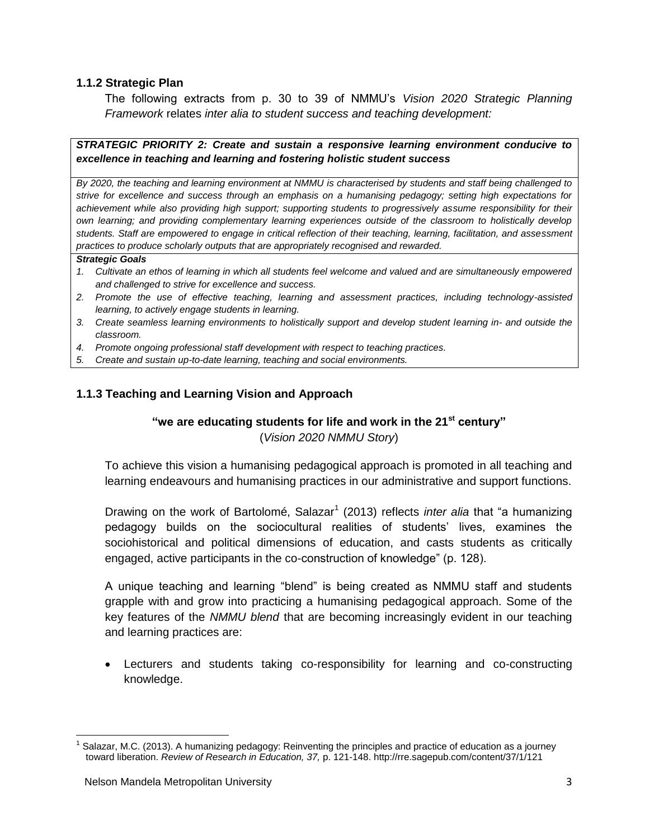#### **1.1.2 Strategic Plan**

The following extracts from p. 30 to 39 of NMMU's *Vision 2020 Strategic Planning Framework* relates *inter alia to student success and teaching development:*

*STRATEGIC PRIORITY 2: Create and sustain a responsive learning environment conducive to excellence in teaching and learning and fostering holistic student success*

*By 2020, the teaching and learning environment at NMMU is characterised by students and staff being challenged to strive for excellence and success through an emphasis on a humanising pedagogy; setting high expectations for achievement while also providing high support; supporting students to progressively assume responsibility for their own learning; and providing complementary learning experiences outside of the classroom to holistically develop students. Staff are empowered to engage in critical reflection of their teaching, learning, facilitation, and assessment practices to produce scholarly outputs that are appropriately recognised and rewarded.*

#### *Strategic Goals*

- *1. Cultivate an ethos of learning in which all students feel welcome and valued and are simultaneously empowered and challenged to strive for excellence and success.*
- *2. Promote the use of effective teaching, learning and assessment practices, including technology-assisted learning, to actively engage students in learning.*
- *3. Create seamless learning environments to holistically support and develop student learning in- and outside the classroom.*
- *4. Promote ongoing professional staff development with respect to teaching practices.*
- *5. Create and sustain up-to-date learning, teaching and social environments.*

#### **1.1.3 Teaching and Learning Vision and Approach**

#### **"we are educating students for life and work in the 21st century"**

(*Vision 2020 NMMU Story*)

To achieve this vision a humanising pedagogical approach is promoted in all teaching and learning endeavours and humanising practices in our administrative and support functions.

Drawing on the work of Bartolomé, Salazar<sup>1</sup> (2013) reflects *inter alia* that "a humanizing pedagogy builds on the sociocultural realities of students' lives, examines the sociohistorical and political dimensions of education, and casts students as critically engaged, active participants in the co-construction of knowledge" (p. 128).

A unique teaching and learning "blend" is being created as NMMU staff and students grapple with and grow into practicing a humanising pedagogical approach. Some of the key features of the *NMMU blend* that are becoming increasingly evident in our teaching and learning practices are:

 Lecturers and students taking co-responsibility for learning and co-constructing knowledge.

 $\overline{a}$ 

<sup>1</sup> Salazar, M.C. (2013). A humanizing pedagogy: Reinventing the principles and practice of education as a journey toward liberation. *Review of Research in Education, 37,* p. 121-148. http://rre.sagepub.com/content/37/1/121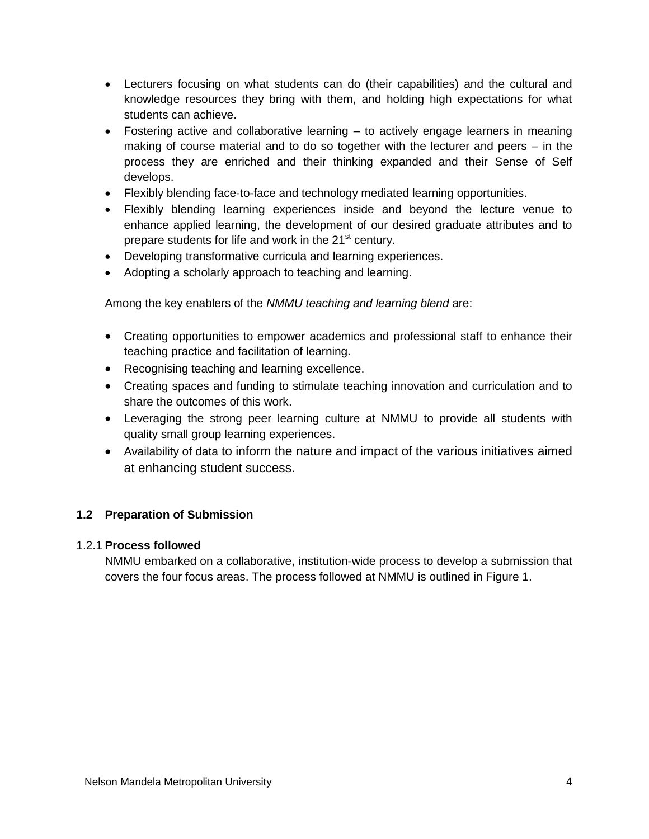- Lecturers focusing on what students can do (their capabilities) and the cultural and knowledge resources they bring with them, and holding high expectations for what students can achieve.
- Fostering active and collaborative learning to actively engage learners in meaning making of course material and to do so together with the lecturer and peers – in the process they are enriched and their thinking expanded and their Sense of Self develops.
- Flexibly blending face-to-face and technology mediated learning opportunities.
- Flexibly blending learning experiences inside and beyond the lecture venue to enhance applied learning, the development of our desired graduate attributes and to prepare students for life and work in the 21<sup>st</sup> century.
- Developing transformative curricula and learning experiences.
- Adopting a scholarly approach to teaching and learning.

Among the key enablers of the *NMMU teaching and learning blend* are:

- Creating opportunities to empower academics and professional staff to enhance their teaching practice and facilitation of learning.
- Recognising teaching and learning excellence.
- Creating spaces and funding to stimulate teaching innovation and curriculation and to share the outcomes of this work.
- Leveraging the strong peer learning culture at NMMU to provide all students with quality small group learning experiences.
- Availability of data to inform the nature and impact of the various initiatives aimed at enhancing student success.

## **1.2 Preparation of Submission**

#### 1.2.1 **Process followed**

NMMU embarked on a collaborative, institution-wide process to develop a submission that covers the four focus areas. The process followed at NMMU is outlined in Figure 1.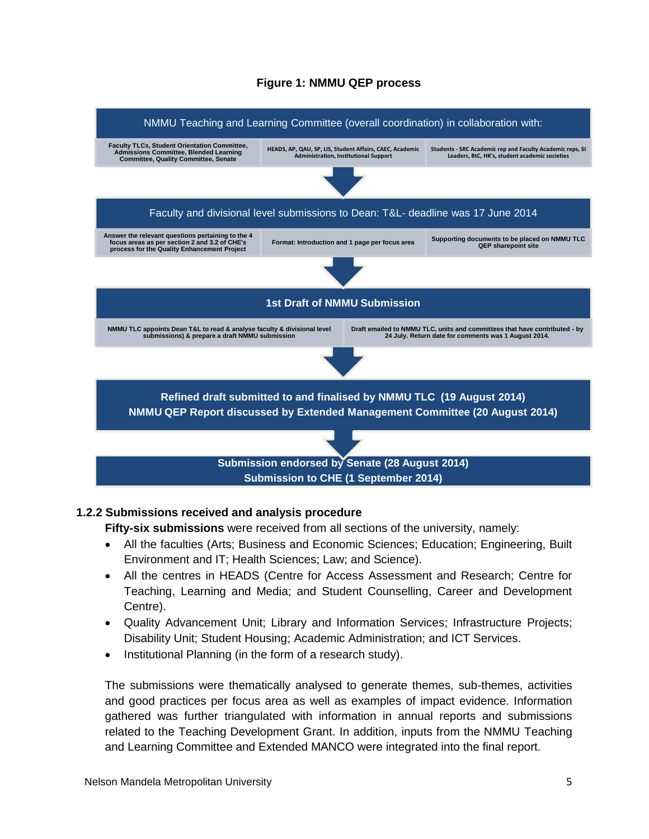#### **Figure 1: NMMU QEP process**



#### **1.2.2 Submissions received and analysis procedure**

**Fifty-six submissions** were received from all sections of the university, namely:

- All the faculties (Arts; Business and Economic Sciences; Education; Engineering, Built Environment and IT; Health Sciences; Law; and Science).
- All the centres in HEADS (Centre for Access Assessment and Research; Centre for Teaching, Learning and Media; and Student Counselling, Career and Development Centre).
- Quality Advancement Unit; Library and Information Services; Infrastructure Projects; Disability Unit; Student Housing; Academic Administration; and ICT Services.
- Institutional Planning (in the form of a research study).

The submissions were thematically analysed to generate themes, sub-themes, activities and good practices per focus area as well as examples of impact evidence. Information gathered was further triangulated with information in annual reports and submissions related to the Teaching Development Grant. In addition, inputs from the NMMU Teaching and Learning Committee and Extended MANCO were integrated into the final report.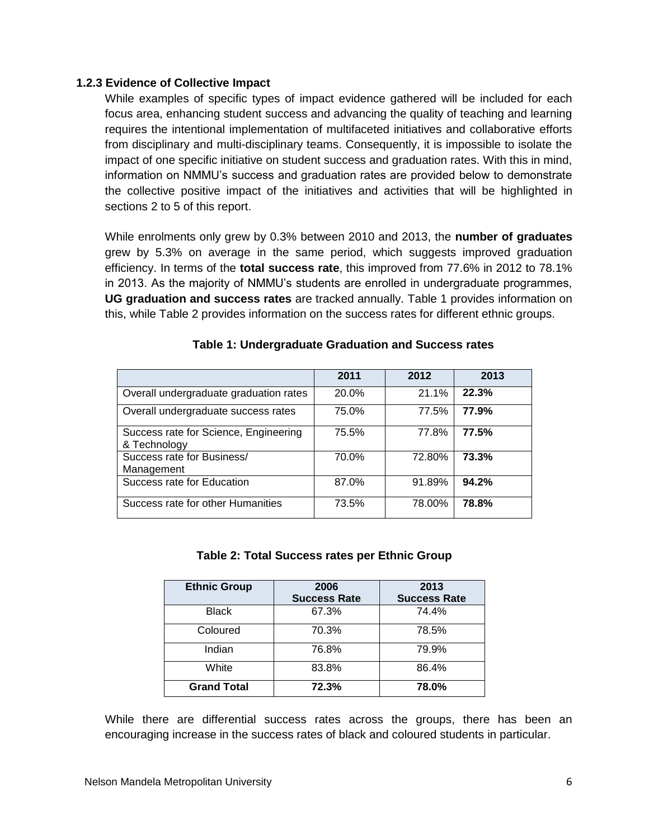#### **1.2.3 Evidence of Collective Impact**

While examples of specific types of impact evidence gathered will be included for each focus area, enhancing student success and advancing the quality of teaching and learning requires the intentional implementation of multifaceted initiatives and collaborative efforts from disciplinary and multi-disciplinary teams. Consequently, it is impossible to isolate the impact of one specific initiative on student success and graduation rates. With this in mind, information on NMMU's success and graduation rates are provided below to demonstrate the collective positive impact of the initiatives and activities that will be highlighted in sections 2 to 5 of this report.

While enrolments only grew by 0.3% between 2010 and 2013, the **number of graduates** grew by 5.3% on average in the same period, which suggests improved graduation efficiency. In terms of the **total success rate**, this improved from 77.6% in 2012 to 78.1% in 2013. As the majority of NMMU's students are enrolled in undergraduate programmes, **UG graduation and success rates** are tracked annually. Table 1 provides information on this, while Table 2 provides information on the success rates for different ethnic groups.

|                                                       | 2011  | 2012   | 2013  |
|-------------------------------------------------------|-------|--------|-------|
| Overall undergraduate graduation rates                | 20.0% | 21.1%  | 22.3% |
| Overall undergraduate success rates                   | 75.0% | 77.5%  | 77.9% |
| Success rate for Science, Engineering<br>& Technology | 75.5% | 77.8%  | 77.5% |
| Success rate for Business/<br>Management              | 70.0% | 72.80% | 73.3% |
| Success rate for Education                            | 87.0% | 91.89% | 94.2% |
| Success rate for other Humanities                     | 73.5% | 78.00% | 78.8% |

#### **Table 1: Undergraduate Graduation and Success rates**

#### **Table 2: Total Success rates per Ethnic Group**

| <b>Ethnic Group</b> | 2006<br><b>Success Rate</b> | 2013<br><b>Success Rate</b> |
|---------------------|-----------------------------|-----------------------------|
| <b>Black</b>        | 67.3%                       | 74.4%                       |
| Coloured            | 70.3%                       | 78.5%                       |
| Indian              | 76.8%                       | 79.9%                       |
| White               | 83.8%                       | 86.4%                       |
| <b>Grand Total</b>  | 72.3%                       | 78.0%                       |

While there are differential success rates across the groups, there has been an encouraging increase in the success rates of black and coloured students in particular.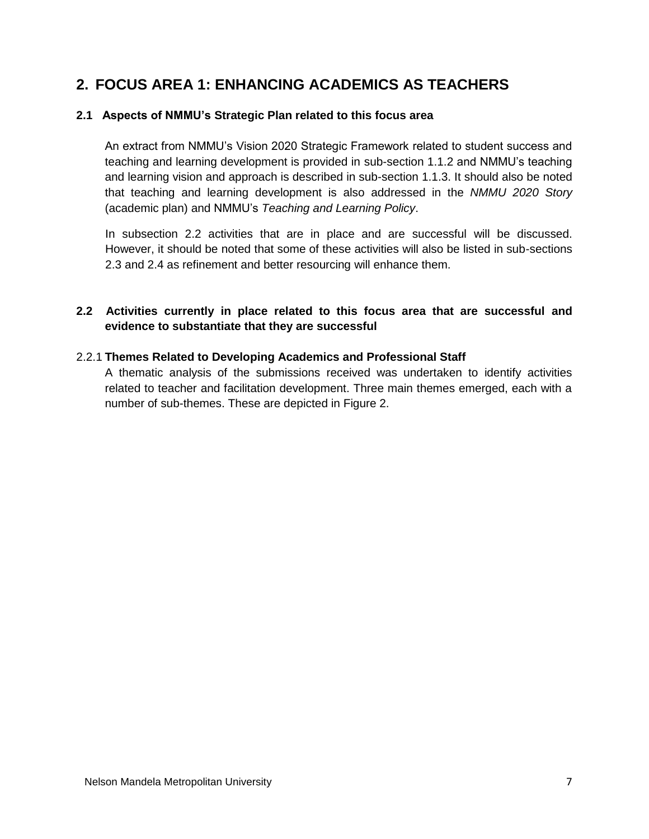## **2. FOCUS AREA 1: ENHANCING ACADEMICS AS TEACHERS**

#### **2.1 Aspects of NMMU's Strategic Plan related to this focus area**

An extract from NMMU's Vision 2020 Strategic Framework related to student success and teaching and learning development is provided in sub-section 1.1.2 and NMMU's teaching and learning vision and approach is described in sub-section 1.1.3. It should also be noted that teaching and learning development is also addressed in the *NMMU 2020 Story* (academic plan) and NMMU's *Teaching and Learning Policy*.

In subsection 2.2 activities that are in place and are successful will be discussed. However, it should be noted that some of these activities will also be listed in sub-sections 2.3 and 2.4 as refinement and better resourcing will enhance them.

## **2.2 Activities currently in place related to this focus area that are successful and evidence to substantiate that they are successful**

#### 2.2.1 **Themes Related to Developing Academics and Professional Staff**

A thematic analysis of the submissions received was undertaken to identify activities related to teacher and facilitation development. Three main themes emerged, each with a number of sub-themes. These are depicted in Figure 2.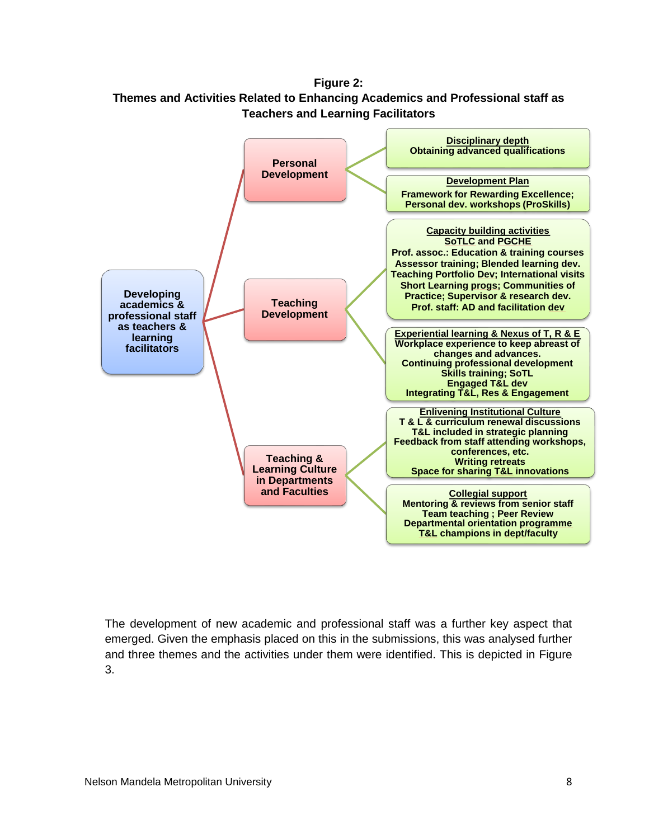**Figure 2: Themes and Activities Related to Enhancing Academics and Professional staff as Teachers and Learning Facilitators**



The development of new academic and professional staff was a further key aspect that emerged. Given the emphasis placed on this in the submissions, this was analysed further and three themes and the activities under them were identified. This is depicted in Figure 3.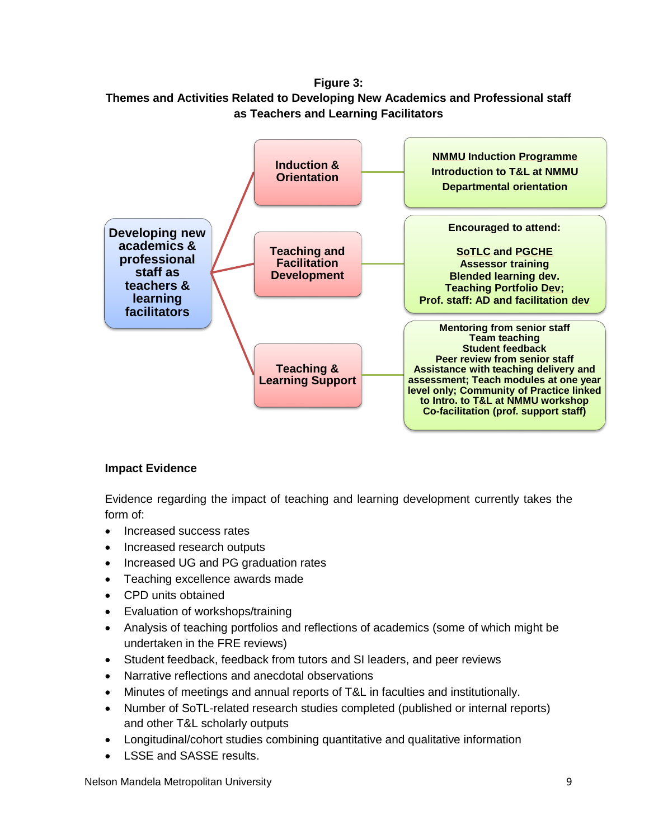**Figure 3: Themes and Activities Related to Developing New Academics and Professional staff as Teachers and Learning Facilitators**



## **Impact Evidence**

Evidence regarding the impact of teaching and learning development currently takes the form of:

- Increased success rates
- Increased research outputs
- Increased UG and PG graduation rates
- Teaching excellence awards made
- CPD units obtained
- Evaluation of workshops/training
- Analysis of teaching portfolios and reflections of academics (some of which might be undertaken in the FRE reviews)
- Student feedback, feedback from tutors and SI leaders, and peer reviews
- Narrative reflections and anecdotal observations
- Minutes of meetings and annual reports of T&L in faculties and institutionally.
- Number of SoTL-related research studies completed (published or internal reports) and other T&L scholarly outputs
- Longitudinal/cohort studies combining quantitative and qualitative information
- I SSE and SASSE results.

Nelson Mandela Metropolitan University 9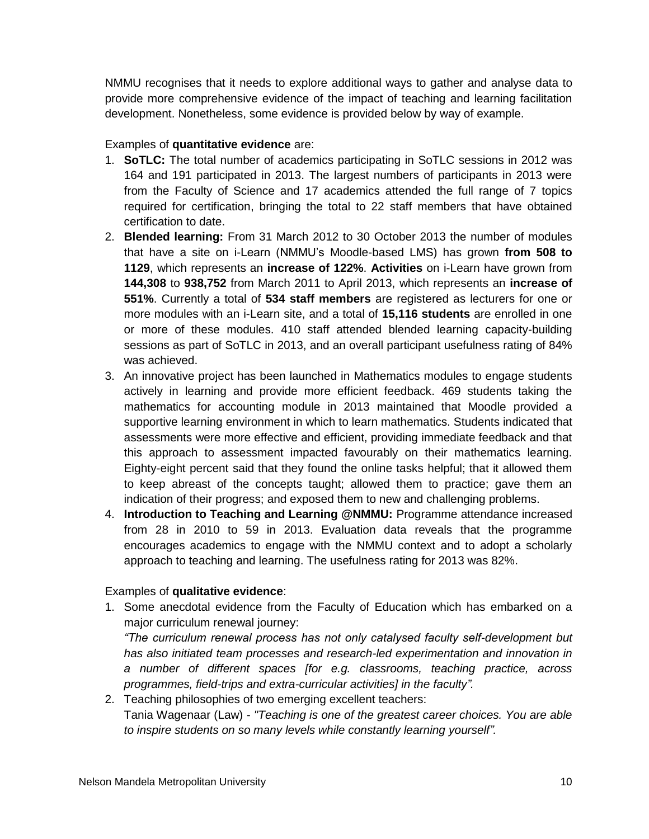NMMU recognises that it needs to explore additional ways to gather and analyse data to provide more comprehensive evidence of the impact of teaching and learning facilitation development. Nonetheless, some evidence is provided below by way of example.

#### Examples of **quantitative evidence** are:

- 1. **SoTLC:** The total number of academics participating in SoTLC sessions in 2012 was 164 and 191 participated in 2013. The largest numbers of participants in 2013 were from the Faculty of Science and 17 academics attended the full range of 7 topics required for certification, bringing the total to 22 staff members that have obtained certification to date.
- 2. **Blended learning:** From 31 March 2012 to 30 October 2013 the number of modules that have a site on i-Learn (NMMU's Moodle-based LMS) has grown **from 508 to 1129**, which represents an **increase of 122%**. **Activities** on i-Learn have grown from **144,308** to **938,752** from March 2011 to April 2013, which represents an **increase of 551%**. Currently a total of **534 staff members** are registered as lecturers for one or more modules with an i-Learn site, and a total of **15,116 students** are enrolled in one or more of these modules. 410 staff attended blended learning capacity-building sessions as part of SoTLC in 2013, and an overall participant usefulness rating of 84% was achieved.
- 3. An innovative project has been launched in Mathematics modules to engage students actively in learning and provide more efficient feedback. 469 students taking the mathematics for accounting module in 2013 maintained that Moodle provided a supportive learning environment in which to learn mathematics. Students indicated that assessments were more effective and efficient, providing immediate feedback and that this approach to assessment impacted favourably on their mathematics learning. Eighty-eight percent said that they found the online tasks helpful; that it allowed them to keep abreast of the concepts taught; allowed them to practice; gave them an indication of their progress; and exposed them to new and challenging problems.
- 4. **Introduction to Teaching and Learning @NMMU:** Programme attendance increased from 28 in 2010 to 59 in 2013. Evaluation data reveals that the programme encourages academics to engage with the NMMU context and to adopt a scholarly approach to teaching and learning. The usefulness rating for 2013 was 82%.

## Examples of **qualitative evidence**:

1. Some anecdotal evidence from the Faculty of Education which has embarked on a major curriculum renewal journey:

*"The curriculum renewal process has not only catalysed faculty self-development but has also initiated team processes and research-led experimentation and innovation in a number of different spaces [for e.g. classrooms, teaching practice, across programmes, field-trips and extra-curricular activities] in the faculty".* 

2. Teaching philosophies of two emerging excellent teachers: Tania Wagenaar (Law) - *"Teaching is one of the greatest career choices. You are able to inspire students on so many levels while constantly learning yourself".*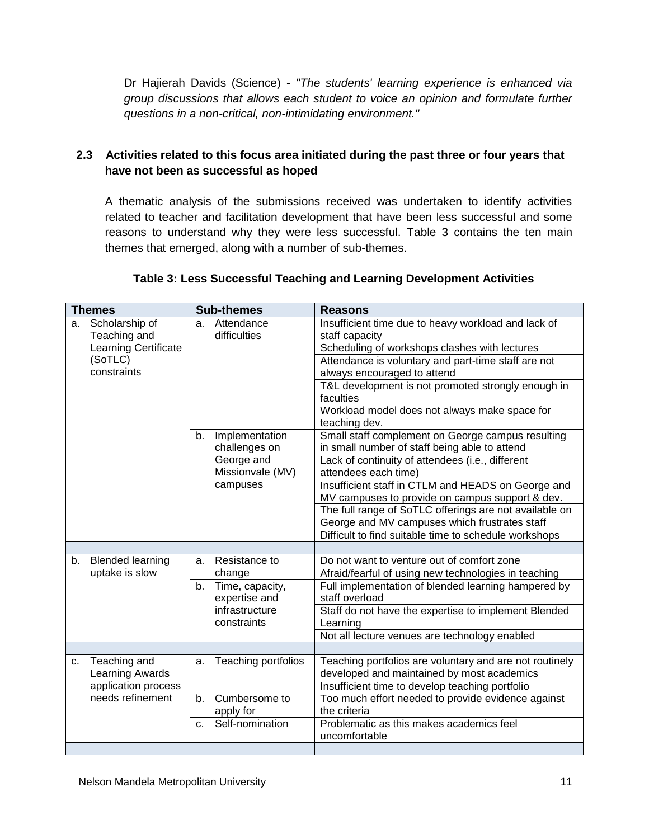Dr Hajierah Davids (Science) - *"The students' learning experience is enhanced via group discussions that allows each student to voice an opinion and formulate further questions in a non-critical, non-intimidating environment."*

## **2.3 Activities related to this focus area initiated during the past three or four years that have not been as successful as hoped**

A thematic analysis of the submissions received was undertaken to identify activities related to teacher and facilitation development that have been less successful and some reasons to understand why they were less successful. Table 3 contains the ten main themes that emerged, along with a number of sub-themes.

#### **Table 3: Less Successful Teaching and Learning Development Activities**

| <b>Themes</b> |                                | <b>Sub-themes</b> |                                                        | <b>Reasons</b>                                                        |
|---------------|--------------------------------|-------------------|--------------------------------------------------------|-----------------------------------------------------------------------|
| a.            | Scholarship of<br>Teaching and | a.                | Attendance<br>difficulties                             | Insufficient time due to heavy workload and lack of<br>staff capacity |
|               | Learning Certificate           |                   | Scheduling of workshops clashes with lectures          |                                                                       |
|               | (SoTLC)                        |                   |                                                        | Attendance is voluntary and part-time staff are not                   |
|               | constraints                    |                   |                                                        | always encouraged to attend                                           |
|               |                                |                   |                                                        | T&L development is not promoted strongly enough in                    |
|               |                                |                   |                                                        | faculties                                                             |
|               |                                |                   |                                                        | Workload model does not always make space for                         |
|               |                                |                   |                                                        | teaching dev.                                                         |
|               |                                | b.                | Implementation                                         | Small staff complement on George campus resulting                     |
|               |                                |                   | challenges on                                          | in small number of staff being able to attend                         |
|               |                                |                   | George and                                             | Lack of continuity of attendees (i.e., different                      |
|               |                                |                   | Missionvale (MV)                                       | attendees each time)                                                  |
|               |                                |                   | campuses                                               | Insufficient staff in CTLM and HEADS on George and                    |
|               |                                |                   |                                                        | MV campuses to provide on campus support & dev.                       |
|               |                                |                   | The full range of SoTLC offerings are not available on |                                                                       |
|               |                                |                   |                                                        | George and MV campuses which frustrates staff                         |
|               |                                |                   |                                                        | Difficult to find suitable time to schedule workshops                 |
|               |                                |                   |                                                        |                                                                       |
| b.            | <b>Blended learning</b>        | a.                | Resistance to                                          | Do not want to venture out of comfort zone                            |
|               | uptake is slow                 | b.                | change<br>Time, capacity,<br>expertise and             | Afraid/fearful of using new technologies in teaching                  |
|               |                                |                   |                                                        | Full implementation of blended learning hampered by<br>staff overload |
|               |                                |                   | infrastructure                                         | Staff do not have the expertise to implement Blended                  |
|               |                                |                   | constraints                                            | Learning                                                              |
|               |                                |                   |                                                        | Not all lecture venues are technology enabled                         |
|               |                                |                   |                                                        |                                                                       |
| $C_{1}$       | Teaching and                   | a.                | Teaching portfolios                                    | Teaching portfolios are voluntary and are not routinely               |
|               | Learning Awards                |                   |                                                        | developed and maintained by most academics                            |
|               | application process            |                   |                                                        | Insufficient time to develop teaching portfolio                       |
|               | needs refinement               | b.                | Cumbersome to                                          | Too much effort needed to provide evidence against                    |
|               |                                | apply for         |                                                        | the criteria                                                          |
|               |                                | C.                | Self-nomination                                        | Problematic as this makes academics feel                              |
|               |                                |                   |                                                        | uncomfortable                                                         |
|               |                                |                   |                                                        |                                                                       |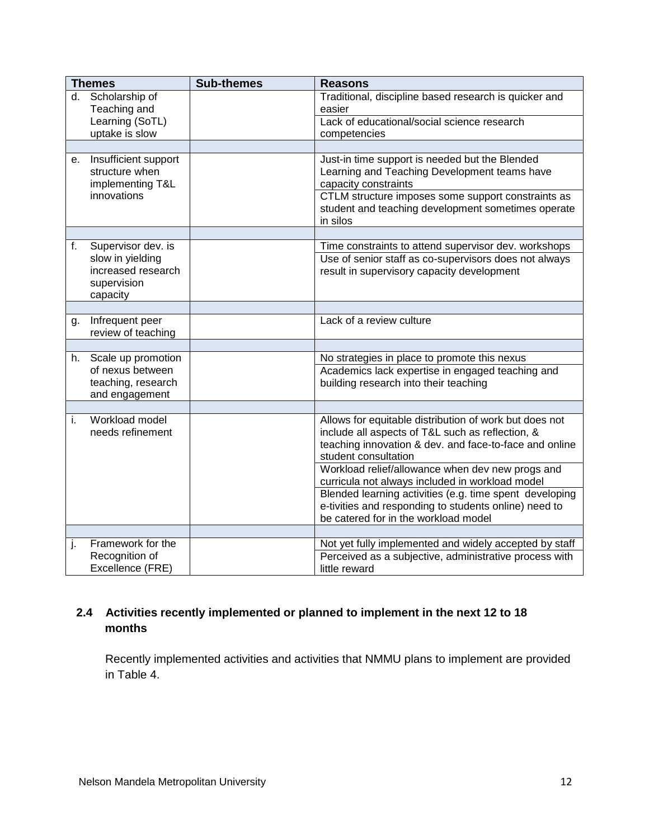|    | <b>Themes</b>                                                                           | <b>Sub-themes</b> | <b>Reasons</b>                                                                                                                                                                                                                                 |
|----|-----------------------------------------------------------------------------------------|-------------------|------------------------------------------------------------------------------------------------------------------------------------------------------------------------------------------------------------------------------------------------|
| d. | Scholarship of<br>Teaching and                                                          |                   | Traditional, discipline based research is quicker and<br>easier                                                                                                                                                                                |
|    | Learning (SoTL)<br>uptake is slow                                                       |                   | Lack of educational/social science research<br>competencies                                                                                                                                                                                    |
|    |                                                                                         |                   |                                                                                                                                                                                                                                                |
| е. | Insufficient support<br>structure when<br>implementing T&L<br>innovations               |                   | Just-in time support is needed but the Blended<br>Learning and Teaching Development teams have<br>capacity constraints<br>CTLM structure imposes some support constraints as<br>student and teaching development sometimes operate<br>in silos |
|    |                                                                                         |                   |                                                                                                                                                                                                                                                |
| f. | Supervisor dev. is<br>slow in yielding<br>increased research<br>supervision<br>capacity |                   | Time constraints to attend supervisor dev. workshops<br>Use of senior staff as co-supervisors does not always<br>result in supervisory capacity development                                                                                    |
|    |                                                                                         |                   |                                                                                                                                                                                                                                                |
| g. | Infrequent peer<br>review of teaching                                                   |                   | Lack of a review culture                                                                                                                                                                                                                       |
|    |                                                                                         |                   |                                                                                                                                                                                                                                                |
| h. | Scale up promotion<br>of nexus between<br>teaching, research<br>and engagement          |                   | No strategies in place to promote this nexus<br>Academics lack expertise in engaged teaching and<br>building research into their teaching                                                                                                      |
|    |                                                                                         |                   |                                                                                                                                                                                                                                                |
| i. | Workload model<br>needs refinement                                                      |                   | Allows for equitable distribution of work but does not<br>include all aspects of T&L such as reflection, &<br>teaching innovation & dev. and face-to-face and online<br>student consultation                                                   |
|    |                                                                                         |                   | Workload relief/allowance when dev new progs and<br>curricula not always included in workload model                                                                                                                                            |
|    |                                                                                         |                   | Blended learning activities (e.g. time spent developing<br>e-tivities and responding to students online) need to<br>be catered for in the workload model                                                                                       |
|    |                                                                                         |                   |                                                                                                                                                                                                                                                |
| j. | Framework for the<br>Recognition of<br>Excellence (FRE)                                 |                   | Not yet fully implemented and widely accepted by staff<br>Perceived as a subjective, administrative process with<br>little reward                                                                                                              |

## **2.4 Activities recently implemented or planned to implement in the next 12 to 18 months**

Recently implemented activities and activities that NMMU plans to implement are provided in Table 4.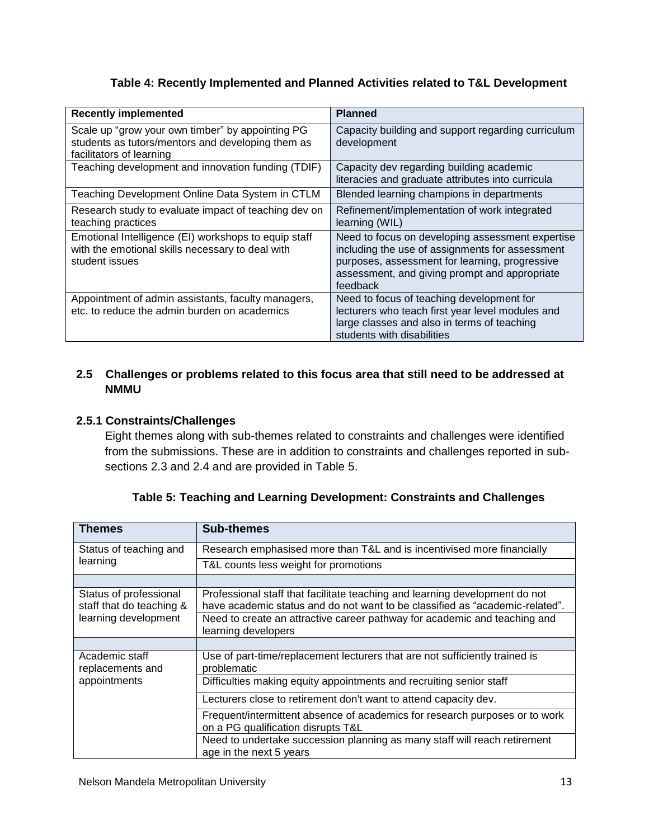#### **Table 4: Recently Implemented and Planned Activities related to T&L Development**

| <b>Recently implemented</b>                                                                                                       | <b>Planned</b>                                                                                                                                                                                                     |
|-----------------------------------------------------------------------------------------------------------------------------------|--------------------------------------------------------------------------------------------------------------------------------------------------------------------------------------------------------------------|
| Scale up "grow your own timber" by appointing PG<br>students as tutors/mentors and developing them as<br>facilitators of learning | Capacity building and support regarding curriculum<br>development                                                                                                                                                  |
| Teaching development and innovation funding (TDIF)                                                                                | Capacity dev regarding building academic<br>literacies and graduate attributes into curricula                                                                                                                      |
| Teaching Development Online Data System in CTLM                                                                                   | Blended learning champions in departments                                                                                                                                                                          |
| Research study to evaluate impact of teaching dev on<br>teaching practices                                                        | Refinement/implementation of work integrated<br>learning (WIL)                                                                                                                                                     |
| Emotional Intelligence (EI) workshops to equip staff<br>with the emotional skills necessary to deal with<br>student issues        | Need to focus on developing assessment expertise<br>including the use of assignments for assessment<br>purposes, assessment for learning, progressive<br>assessment, and giving prompt and appropriate<br>feedback |
| Appointment of admin assistants, faculty managers,<br>etc, to reduce the admin burden on academics                                | Need to focus of teaching development for<br>lecturers who teach first year level modules and<br>large classes and also in terms of teaching<br>students with disabilities                                         |

## **2.5 Challenges or problems related to this focus area that still need to be addressed at NMMU**

#### **2.5.1 Constraints/Challenges**

Eight themes along with sub-themes related to constraints and challenges were identified from the submissions. These are in addition to constraints and challenges reported in subsections 2.3 and 2.4 and are provided in Table 5.

| <b>Themes</b>                                      | <b>Sub-themes</b>                                                                                                                                           |
|----------------------------------------------------|-------------------------------------------------------------------------------------------------------------------------------------------------------------|
| Status of teaching and                             | Research emphasised more than T&L and is incentivised more financially                                                                                      |
| learning                                           | T&L counts less weight for promotions                                                                                                                       |
|                                                    |                                                                                                                                                             |
| Status of professional<br>staff that do teaching & | Professional staff that facilitate teaching and learning development do not<br>have academic status and do not want to be classified as "academic-related". |
| learning development                               | Need to create an attractive career pathway for academic and teaching and<br>learning developers                                                            |
|                                                    |                                                                                                                                                             |
| Academic staff<br>replacements and                 | Use of part-time/replacement lecturers that are not sufficiently trained is<br>problematic                                                                  |
| appointments                                       | Difficulties making equity appointments and recruiting senior staff                                                                                         |
|                                                    | Lecturers close to retirement don't want to attend capacity dev.                                                                                            |
|                                                    | Frequent/intermittent absence of academics for research purposes or to work<br>on a PG qualification disrupts T&L                                           |
|                                                    | Need to undertake succession planning as many staff will reach retirement<br>age in the next 5 years                                                        |

| Table 5: Teaching and Learning Development: Constraints and Challenges |  |  |
|------------------------------------------------------------------------|--|--|
|                                                                        |  |  |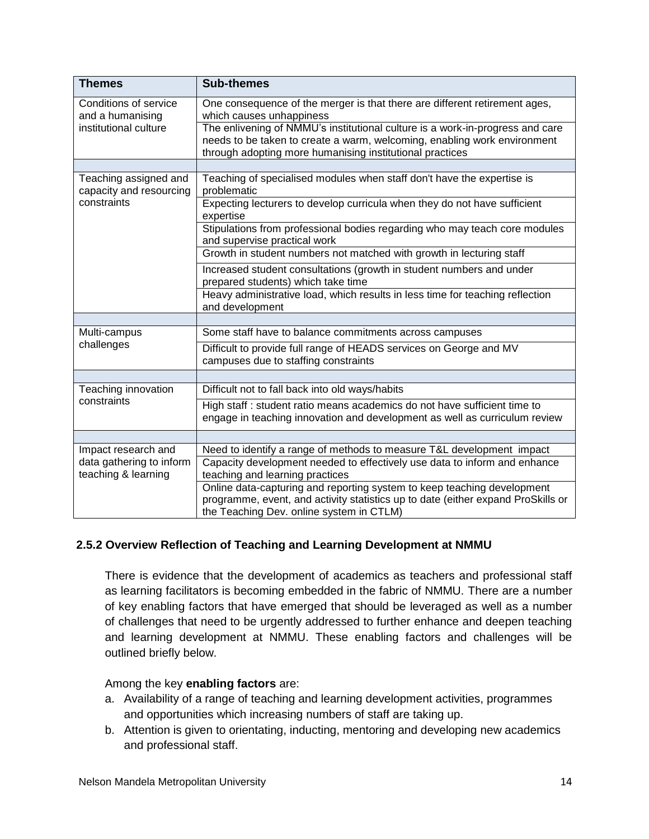| <b>Themes</b>                                    | <b>Sub-themes</b>                                                                                                                                                                                       |
|--------------------------------------------------|---------------------------------------------------------------------------------------------------------------------------------------------------------------------------------------------------------|
| Conditions of service<br>and a humanising        | One consequence of the merger is that there are different retirement ages,<br>which causes unhappiness                                                                                                  |
| institutional culture                            | The enlivening of NMMU's institutional culture is a work-in-progress and care                                                                                                                           |
|                                                  | needs to be taken to create a warm, welcoming, enabling work environment                                                                                                                                |
|                                                  | through adopting more humanising institutional practices                                                                                                                                                |
| Teaching assigned and<br>capacity and resourcing | Teaching of specialised modules when staff don't have the expertise is<br>problematic                                                                                                                   |
| constraints                                      | Expecting lecturers to develop curricula when they do not have sufficient<br>expertise                                                                                                                  |
|                                                  | Stipulations from professional bodies regarding who may teach core modules<br>and supervise practical work                                                                                              |
|                                                  | Growth in student numbers not matched with growth in lecturing staff                                                                                                                                    |
|                                                  | Increased student consultations (growth in student numbers and under<br>prepared students) which take time                                                                                              |
|                                                  | Heavy administrative load, which results in less time for teaching reflection<br>and development                                                                                                        |
|                                                  |                                                                                                                                                                                                         |
| Multi-campus                                     | Some staff have to balance commitments across campuses                                                                                                                                                  |
| challenges                                       | Difficult to provide full range of HEADS services on George and MV<br>campuses due to staffing constraints                                                                                              |
|                                                  |                                                                                                                                                                                                         |
| Teaching innovation                              | Difficult not to fall back into old ways/habits                                                                                                                                                         |
| constraints                                      | High staff : student ratio means academics do not have sufficient time to<br>engage in teaching innovation and development as well as curriculum review                                                 |
|                                                  |                                                                                                                                                                                                         |
| Impact research and                              | Need to identify a range of methods to measure T&L development impact                                                                                                                                   |
| data gathering to inform<br>teaching & learning  | Capacity development needed to effectively use data to inform and enhance<br>teaching and learning practices                                                                                            |
|                                                  | Online data-capturing and reporting system to keep teaching development<br>programme, event, and activity statistics up to date (either expand ProSkills or<br>the Teaching Dev. online system in CTLM) |

## **2.5.2 Overview Reflection of Teaching and Learning Development at NMMU**

There is evidence that the development of academics as teachers and professional staff as learning facilitators is becoming embedded in the fabric of NMMU. There are a number of key enabling factors that have emerged that should be leveraged as well as a number of challenges that need to be urgently addressed to further enhance and deepen teaching and learning development at NMMU. These enabling factors and challenges will be outlined briefly below.

#### Among the key **enabling factors** are:

- a. Availability of a range of teaching and learning development activities, programmes and opportunities which increasing numbers of staff are taking up.
- b. Attention is given to orientating, inducting, mentoring and developing new academics and professional staff.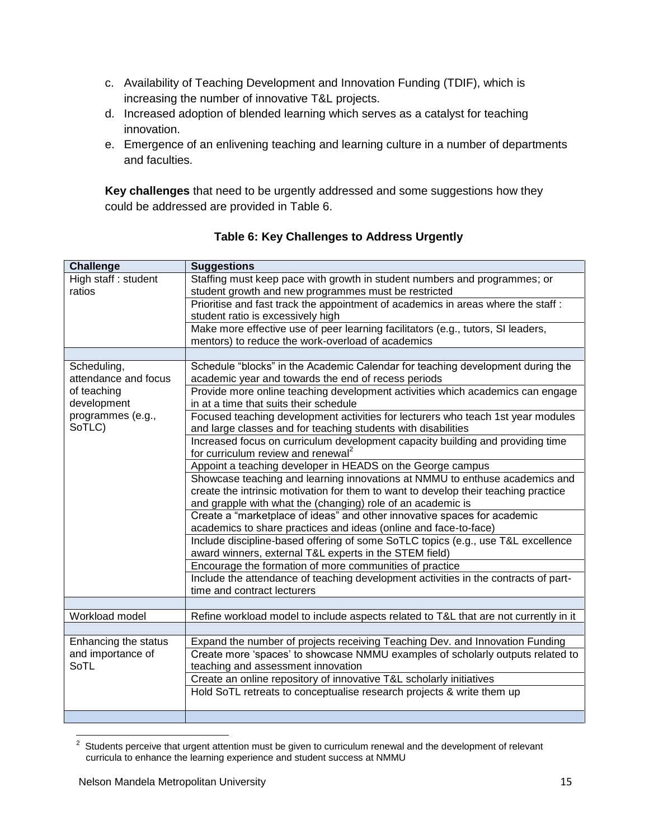- c. Availability of Teaching Development and Innovation Funding (TDIF), which is increasing the number of innovative T&L projects.
- d. Increased adoption of blended learning which serves as a catalyst for teaching innovation.
- e. Emergence of an enlivening teaching and learning culture in a number of departments and faculties.

**Key challenges** that need to be urgently addressed and some suggestions how they could be addressed are provided in Table 6.

| <b>Challenge</b>     | <b>Suggestions</b>                                                                   |
|----------------------|--------------------------------------------------------------------------------------|
| High staff: student  | Staffing must keep pace with growth in student numbers and programmes; or            |
| ratios               | student growth and new programmes must be restricted                                 |
|                      | Prioritise and fast track the appointment of academics in areas where the staff:     |
|                      | student ratio is excessively high                                                    |
|                      | Make more effective use of peer learning facilitators (e.g., tutors, SI leaders,     |
|                      | mentors) to reduce the work-overload of academics                                    |
|                      |                                                                                      |
| Scheduling,          | Schedule "blocks" in the Academic Calendar for teaching development during the       |
| attendance and focus | academic year and towards the end of recess periods                                  |
| of teaching          | Provide more online teaching development activities which academics can engage       |
| development          | in at a time that suits their schedule                                               |
| programmes (e.g.,    | Focused teaching development activities for lecturers who teach 1st year modules     |
| SoTLC)               | and large classes and for teaching students with disabilities                        |
|                      | Increased focus on curriculum development capacity building and providing time       |
|                      | for curriculum review and renewal <sup>2</sup>                                       |
|                      | Appoint a teaching developer in HEADS on the George campus                           |
|                      | Showcase teaching and learning innovations at NMMU to enthuse academics and          |
|                      | create the intrinsic motivation for them to want to develop their teaching practice  |
|                      | and grapple with what the (changing) role of an academic is                          |
|                      | Create a "marketplace of ideas" and other innovative spaces for academic             |
|                      | academics to share practices and ideas (online and face-to-face)                     |
|                      | Include discipline-based offering of some SoTLC topics (e.g., use T&L excellence     |
|                      | award winners, external T&L experts in the STEM field)                               |
|                      | Encourage the formation of more communities of practice                              |
|                      | Include the attendance of teaching development activities in the contracts of part-  |
|                      | time and contract lecturers                                                          |
|                      |                                                                                      |
| Workload model       | Refine workload model to include aspects related to T&L that are not currently in it |
|                      |                                                                                      |
| Enhancing the status | Expand the number of projects receiving Teaching Dev. and Innovation Funding         |
| and importance of    | Create more 'spaces' to showcase NMMU examples of scholarly outputs related to       |
| SoTL                 | teaching and assessment innovation                                                   |
|                      | Create an online repository of innovative T&L scholarly initiatives                  |
|                      | Hold SoTL retreats to conceptualise research projects & write them up                |
|                      |                                                                                      |
|                      |                                                                                      |

**Table 6: Key Challenges to Address Urgently**

 $\frac{2}{3}$  Students perceive that urgent attention must be given to curriculum renewal and the development of relevant curricula to enhance the learning experience and student success at NMMU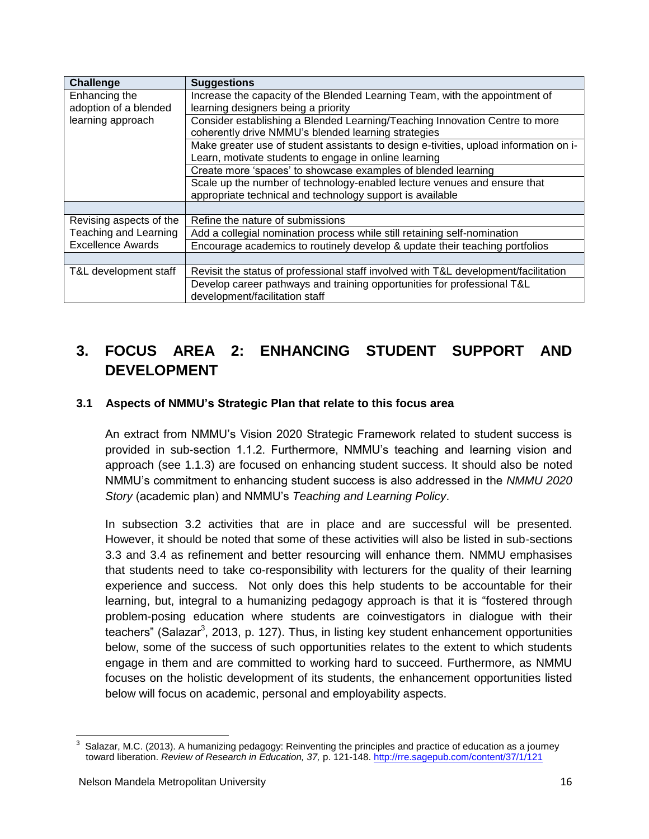| <b>Challenge</b>         | <b>Suggestions</b>                                                                    |
|--------------------------|---------------------------------------------------------------------------------------|
| Enhancing the            | Increase the capacity of the Blended Learning Team, with the appointment of           |
| adoption of a blended    | learning designers being a priority                                                   |
| learning approach        | Consider establishing a Blended Learning/Teaching Innovation Centre to more           |
|                          | coherently drive NMMU's blended learning strategies                                   |
|                          | Make greater use of student assistants to design e-tivities, upload information on i- |
|                          | Learn, motivate students to engage in online learning                                 |
|                          | Create more 'spaces' to showcase examples of blended learning                         |
|                          | Scale up the number of technology-enabled lecture venues and ensure that              |
|                          | appropriate technical and technology support is available                             |
|                          |                                                                                       |
| Revising aspects of the  | Refine the nature of submissions                                                      |
| Teaching and Learning    | Add a collegial nomination process while still retaining self-nomination              |
| <b>Excellence Awards</b> | Encourage academics to routinely develop & update their teaching portfolios           |
|                          |                                                                                       |
| T&L development staff    | Revisit the status of professional staff involved with T&L development/facilitation   |
|                          | Develop career pathways and training opportunities for professional T&L               |
|                          | development/facilitation staff                                                        |

# **3. FOCUS AREA 2: ENHANCING STUDENT SUPPORT AND DEVELOPMENT**

## **3.1 Aspects of NMMU's Strategic Plan that relate to this focus area**

An extract from NMMU's Vision 2020 Strategic Framework related to student success is provided in sub-section 1.1.2. Furthermore, NMMU's teaching and learning vision and approach (see 1.1.3) are focused on enhancing student success. It should also be noted NMMU's commitment to enhancing student success is also addressed in the *NMMU 2020 Story* (academic plan) and NMMU's *Teaching and Learning Policy*.

In subsection 3.2 activities that are in place and are successful will be presented. However, it should be noted that some of these activities will also be listed in sub-sections 3.3 and 3.4 as refinement and better resourcing will enhance them. NMMU emphasises that students need to take co-responsibility with lecturers for the quality of their learning experience and success. Not only does this help students to be accountable for their learning, but, integral to a humanizing pedagogy approach is that it is "fostered through problem-posing education where students are coinvestigators in dialogue with their teachers" (Salazar<sup>3</sup>, 2013, p. 127). Thus, in listing key student enhancement opportunities below, some of the success of such opportunities relates to the extent to which students engage in them and are committed to working hard to succeed. Furthermore, as NMMU focuses on the holistic development of its students, the enhancement opportunities listed below will focus on academic, personal and employability aspects.

 $\overline{a}$ 

<sup>3</sup> Salazar, M.C. (2013). A humanizing pedagogy: Reinventing the principles and practice of education as a journey toward liberation. *Review of Research in Education, 37,* p. 121-148[. http://rre.sagepub.com/content/37/1/121](http://rre.sagepub.com/content/37/1/121)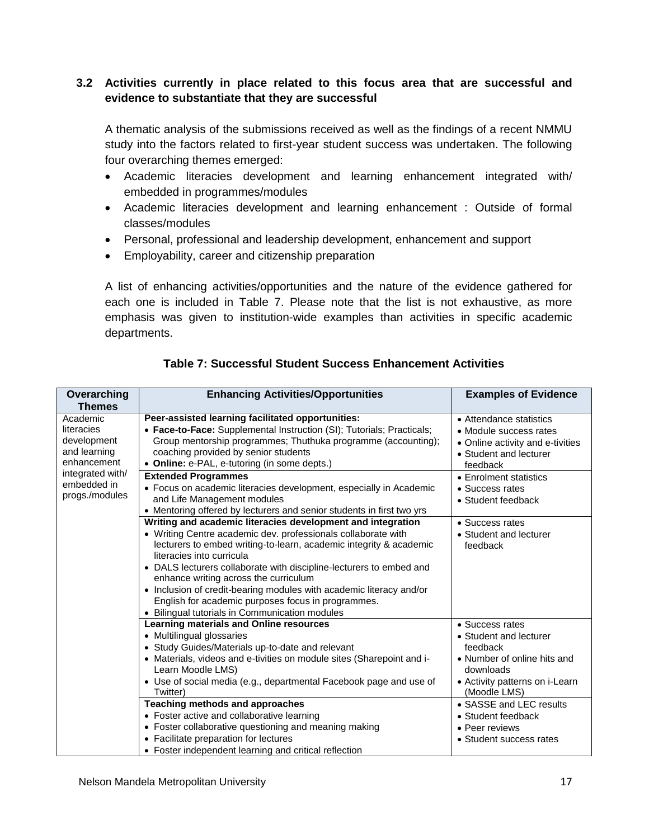## **3.2 Activities currently in place related to this focus area that are successful and evidence to substantiate that they are successful**

A thematic analysis of the submissions received as well as the findings of a recent NMMU study into the factors related to first-year student success was undertaken. The following four overarching themes emerged:

- Academic literacies development and learning enhancement integrated with/ embedded in programmes/modules
- Academic literacies development and learning enhancement : Outside of formal classes/modules
- Personal, professional and leadership development, enhancement and support
- Employability, career and citizenship preparation

A list of enhancing activities/opportunities and the nature of the evidence gathered for each one is included in Table 7. Please note that the list is not exhaustive, as more emphasis was given to institution-wide examples than activities in specific academic departments.

| Overarching<br><b>Themes</b>                                         | <b>Enhancing Activities/Opportunities</b>                                                                                                                                                                                                                                                                                                                                                                                                                                                                                      | <b>Examples of Evidence</b>                                                                                                                         |
|----------------------------------------------------------------------|--------------------------------------------------------------------------------------------------------------------------------------------------------------------------------------------------------------------------------------------------------------------------------------------------------------------------------------------------------------------------------------------------------------------------------------------------------------------------------------------------------------------------------|-----------------------------------------------------------------------------------------------------------------------------------------------------|
| Academic<br>literacies<br>development<br>and learning<br>enhancement | Peer-assisted learning facilitated opportunities:<br>• Face-to-Face: Supplemental Instruction (SI); Tutorials; Practicals;<br>Group mentorship programmes; Thuthuka programme (accounting);<br>coaching provided by senior students<br>• Online: e-PAL, e-tutoring (in some depts.)                                                                                                                                                                                                                                            | • Attendance statistics<br>• Module success rates<br>• Online activity and e-tivities<br>• Student and lecturer<br>feedback                         |
| integrated with/<br>embedded in<br>progs./modules                    | <b>Extended Programmes</b><br>• Focus on academic literacies development, especially in Academic<br>and Life Management modules<br>• Mentoring offered by lecturers and senior students in first two yrs                                                                                                                                                                                                                                                                                                                       | • Enrolment statistics<br>• Success rates<br>• Student feedback                                                                                     |
|                                                                      | Writing and academic literacies development and integration<br>• Writing Centre academic dev. professionals collaborate with<br>lecturers to embed writing-to-learn, academic integrity & academic<br>literacies into curricula<br>• DALS lecturers collaborate with discipline-lecturers to embed and<br>enhance writing across the curriculum<br>• Inclusion of credit-bearing modules with academic literacy and/or<br>English for academic purposes focus in programmes.<br>• Bilingual tutorials in Communication modules | • Success rates<br>• Student and lecturer<br>feedback                                                                                               |
|                                                                      | Learning materials and Online resources<br>• Multilingual glossaries<br>• Study Guides/Materials up-to-date and relevant<br>• Materials, videos and e-tivities on module sites (Sharepoint and i-<br>Learn Moodle LMS)<br>• Use of social media (e.g., departmental Facebook page and use of<br>Twitter)                                                                                                                                                                                                                       | • Success rates<br>• Student and lecturer<br>feedback<br>• Number of online hits and<br>downloads<br>• Activity patterns on i-Learn<br>(Moodle LMS) |
|                                                                      | <b>Teaching methods and approaches</b><br>• Foster active and collaborative learning<br>• Foster collaborative questioning and meaning making<br>• Facilitate preparation for lectures<br>• Foster independent learning and critical reflection                                                                                                                                                                                                                                                                                | • SASSE and LEC results<br>• Student feedback<br>• Peer reviews<br>• Student success rates                                                          |

## **Table 7: Successful Student Success Enhancement Activities**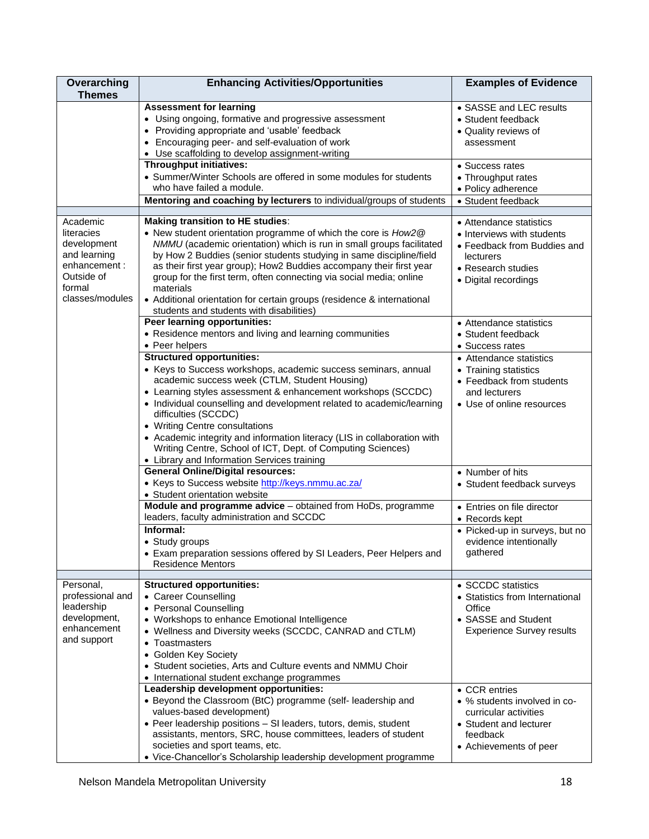| Overarching<br><b>Themes</b>                                                                                     | <b>Enhancing Activities/Opportunities</b>                                                                                                                                                                                                                                                                                                                                                                                                                                                                                                        | <b>Examples of Evidence</b>                                                                                                                     |
|------------------------------------------------------------------------------------------------------------------|--------------------------------------------------------------------------------------------------------------------------------------------------------------------------------------------------------------------------------------------------------------------------------------------------------------------------------------------------------------------------------------------------------------------------------------------------------------------------------------------------------------------------------------------------|-------------------------------------------------------------------------------------------------------------------------------------------------|
|                                                                                                                  | <b>Assessment for learning</b><br>• Using ongoing, formative and progressive assessment<br>• Providing appropriate and 'usable' feedback<br>• Encouraging peer- and self-evaluation of work<br>• Use scaffolding to develop assignment-writing                                                                                                                                                                                                                                                                                                   | • SASSE and LEC results<br>• Student feedback<br>• Quality reviews of<br>assessment                                                             |
|                                                                                                                  | Throughput initiatives:<br>• Summer/Winter Schools are offered in some modules for students<br>who have failed a module.                                                                                                                                                                                                                                                                                                                                                                                                                         | • Success rates<br>• Throughput rates<br>· Policy adherence                                                                                     |
|                                                                                                                  | Mentoring and coaching by lecturers to individual/groups of students                                                                                                                                                                                                                                                                                                                                                                                                                                                                             | • Student feedback                                                                                                                              |
| Academic<br>literacies<br>development<br>and learning<br>enhancement:<br>Outside of<br>formal<br>classes/modules | <b>Making transition to HE studies:</b><br>• New student orientation programme of which the core is How2@<br>NMMU (academic orientation) which is run in small groups facilitated<br>by How 2 Buddies (senior students studying in same discipline/field<br>as their first year group); How2 Buddies accompany their first year<br>group for the first term, often connecting via social media; online<br>materials<br>• Additional orientation for certain groups (residence & international<br>students and students with disabilities)        | • Attendance statistics<br>• Interviews with students<br>• Feedback from Buddies and<br>lecturers<br>• Research studies<br>• Digital recordings |
|                                                                                                                  | Peer learning opportunities:<br>• Residence mentors and living and learning communities<br>• Peer helpers                                                                                                                                                                                                                                                                                                                                                                                                                                        | • Attendance statistics<br>• Student feedback<br>• Success rates                                                                                |
|                                                                                                                  | <b>Structured opportunities:</b><br>• Keys to Success workshops, academic success seminars, annual<br>academic success week (CTLM, Student Housing)<br>• Learning styles assessment & enhancement workshops (SCCDC)<br>• Individual counselling and development related to academic/learning<br>difficulties (SCCDC)<br>• Writing Centre consultations<br>• Academic integrity and information literacy (LIS in collaboration with<br>Writing Centre, School of ICT, Dept. of Computing Sciences)<br>• Library and Information Services training | • Attendance statistics<br>• Training statistics<br>• Feedback from students<br>and lecturers<br>• Use of online resources                      |
|                                                                                                                  | <b>General Online/Digital resources:</b><br>• Keys to Success website http://keys.nmmu.ac.za/<br>• Student orientation website                                                                                                                                                                                                                                                                                                                                                                                                                   | • Number of hits<br>• Student feedback surveys                                                                                                  |
|                                                                                                                  | Module and programme advice - obtained from HoDs, programme<br>leaders, faculty administration and SCCDC                                                                                                                                                                                                                                                                                                                                                                                                                                         | • Entries on file director<br>• Records kept                                                                                                    |
|                                                                                                                  | Informal:<br>• Study groups<br>• Exam preparation sessions offered by SI Leaders, Peer Helpers and<br><b>Residence Mentors</b>                                                                                                                                                                                                                                                                                                                                                                                                                   | • Picked-up in surveys, but no<br>evidence intentionally<br>gathered                                                                            |
| Personal,<br>professional and<br>leadership<br>development,<br>enhancement<br>and support                        | <b>Structured opportunities:</b><br>• Career Counselling<br>• Personal Counselling<br>• Workshops to enhance Emotional Intelligence<br>• Wellness and Diversity weeks (SCCDC, CANRAD and CTLM)<br>• Toastmasters<br>• Golden Key Society<br>• Student societies, Arts and Culture events and NMMU Choir<br>• International student exchange programmes                                                                                                                                                                                           | • SCCDC statistics<br>• Statistics from International<br>Office<br>• SASSE and Student<br><b>Experience Survey results</b>                      |
|                                                                                                                  | Leadership development opportunities:<br>• Beyond the Classroom (BtC) programme (self- leadership and<br>values-based development)<br>• Peer leadership positions - SI leaders, tutors, demis, student<br>assistants, mentors, SRC, house committees, leaders of student<br>societies and sport teams, etc.<br>• Vice-Chancellor's Scholarship leadership development programme                                                                                                                                                                  | • CCR entries<br>• % students involved in co-<br>curricular activities<br>• Student and lecturer<br>feedback<br>• Achievements of peer          |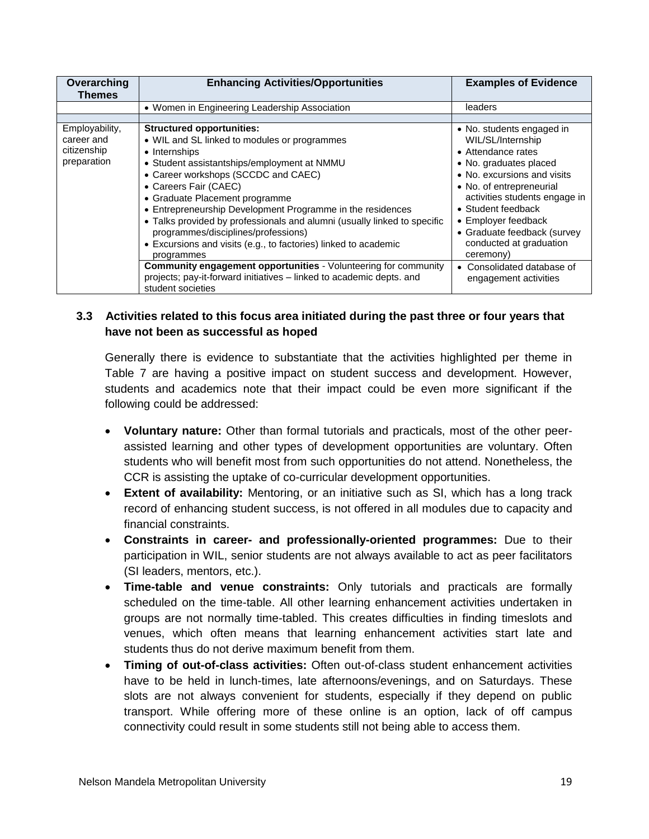| Overarching<br>Themes                                      | <b>Enhancing Activities/Opportunities</b>                                                                                                                                                                                                                                                                                                                                                                                                                                                                                                                                                                                                                                                   | <b>Examples of Evidence</b>                                                                                                                                                                                                                                                                                                                                           |
|------------------------------------------------------------|---------------------------------------------------------------------------------------------------------------------------------------------------------------------------------------------------------------------------------------------------------------------------------------------------------------------------------------------------------------------------------------------------------------------------------------------------------------------------------------------------------------------------------------------------------------------------------------------------------------------------------------------------------------------------------------------|-----------------------------------------------------------------------------------------------------------------------------------------------------------------------------------------------------------------------------------------------------------------------------------------------------------------------------------------------------------------------|
|                                                            | • Women in Engineering Leadership Association                                                                                                                                                                                                                                                                                                                                                                                                                                                                                                                                                                                                                                               | leaders                                                                                                                                                                                                                                                                                                                                                               |
|                                                            |                                                                                                                                                                                                                                                                                                                                                                                                                                                                                                                                                                                                                                                                                             |                                                                                                                                                                                                                                                                                                                                                                       |
| Employability,<br>career and<br>citizenship<br>preparation | <b>Structured opportunities:</b><br>• WIL and SL linked to modules or programmes<br>• Internships<br>• Student assistantships/employment at NMMU<br>• Career workshops (SCCDC and CAEC)<br>• Careers Fair (CAEC)<br>• Graduate Placement programme<br>• Entrepreneurship Development Programme in the residences<br>• Talks provided by professionals and alumni (usually linked to specific<br>programmes/disciplines/professions)<br>• Excursions and visits (e.g., to factories) linked to academic<br>programmes<br><b>Community engagement opportunities</b> - Volunteering for community<br>projects; pay-it-forward initiatives - linked to academic depts. and<br>student societies | • No. students engaged in<br>WIL/SL/Internship<br>• Attendance rates<br>• No. graduates placed<br>• No. excursions and visits<br>• No. of entrepreneurial<br>activities students engage in<br>• Student feedback<br>• Employer feedback<br>• Graduate feedback (survey<br>conducted at graduation<br>ceremony)<br>• Consolidated database of<br>engagement activities |

## **3.3 Activities related to this focus area initiated during the past three or four years that have not been as successful as hoped**

Generally there is evidence to substantiate that the activities highlighted per theme in Table 7 are having a positive impact on student success and development. However, students and academics note that their impact could be even more significant if the following could be addressed:

- **Voluntary nature:** Other than formal tutorials and practicals, most of the other peerassisted learning and other types of development opportunities are voluntary. Often students who will benefit most from such opportunities do not attend. Nonetheless, the CCR is assisting the uptake of co-curricular development opportunities.
- **Extent of availability:** Mentoring, or an initiative such as SI, which has a long track record of enhancing student success, is not offered in all modules due to capacity and financial constraints.
- **Constraints in career- and professionally-oriented programmes:** Due to their participation in WIL, senior students are not always available to act as peer facilitators (SI leaders, mentors, etc.).
- **Time-table and venue constraints:** Only tutorials and practicals are formally scheduled on the time-table. All other learning enhancement activities undertaken in groups are not normally time-tabled. This creates difficulties in finding timeslots and venues, which often means that learning enhancement activities start late and students thus do not derive maximum benefit from them.
- **Timing of out-of-class activities:** Often out-of-class student enhancement activities have to be held in lunch-times, late afternoons/evenings, and on Saturdays. These slots are not always convenient for students, especially if they depend on public transport. While offering more of these online is an option, lack of off campus connectivity could result in some students still not being able to access them.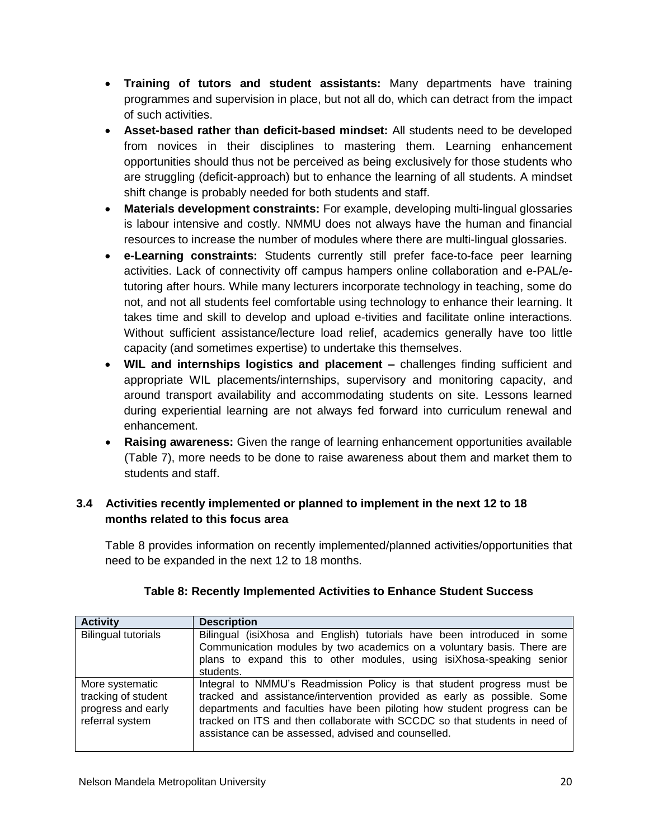- **Training of tutors and student assistants:** Many departments have training programmes and supervision in place, but not all do, which can detract from the impact of such activities.
- **Asset-based rather than deficit-based mindset:** All students need to be developed from novices in their disciplines to mastering them. Learning enhancement opportunities should thus not be perceived as being exclusively for those students who are struggling (deficit-approach) but to enhance the learning of all students. A mindset shift change is probably needed for both students and staff.
- **Materials development constraints:** For example, developing multi-lingual glossaries is labour intensive and costly. NMMU does not always have the human and financial resources to increase the number of modules where there are multi-lingual glossaries.
- **e-Learning constraints:** Students currently still prefer face-to-face peer learning activities. Lack of connectivity off campus hampers online collaboration and e-PAL/etutoring after hours. While many lecturers incorporate technology in teaching, some do not, and not all students feel comfortable using technology to enhance their learning. It takes time and skill to develop and upload e-tivities and facilitate online interactions. Without sufficient assistance/lecture load relief, academics generally have too little capacity (and sometimes expertise) to undertake this themselves.
- **WIL and internships logistics and placement –** challenges finding sufficient and appropriate WIL placements/internships, supervisory and monitoring capacity, and around transport availability and accommodating students on site. Lessons learned during experiential learning are not always fed forward into curriculum renewal and enhancement.
- **Raising awareness:** Given the range of learning enhancement opportunities available (Table 7), more needs to be done to raise awareness about them and market them to students and staff.

## **3.4 Activities recently implemented or planned to implement in the next 12 to 18 months related to this focus area**

Table 8 provides information on recently implemented/planned activities/opportunities that need to be expanded in the next 12 to 18 months.

| <b>Activity</b>                                                                 | <b>Description</b>                                                                                                                                                                                                                                                                                                                                                 |
|---------------------------------------------------------------------------------|--------------------------------------------------------------------------------------------------------------------------------------------------------------------------------------------------------------------------------------------------------------------------------------------------------------------------------------------------------------------|
| <b>Bilingual tutorials</b>                                                      | Bilingual (isiXhosa and English) tutorials have been introduced in some<br>Communication modules by two academics on a voluntary basis. There are<br>plans to expand this to other modules, using isiXhosa-speaking senior<br>students.                                                                                                                            |
| More systematic<br>tracking of student<br>progress and early<br>referral system | Integral to NMMU's Readmission Policy is that student progress must be<br>tracked and assistance/intervention provided as early as possible. Some<br>departments and faculties have been piloting how student progress can be<br>tracked on ITS and then collaborate with SCCDC so that students in need of<br>assistance can be assessed, advised and counselled. |

## **Table 8: Recently Implemented Activities to Enhance Student Success**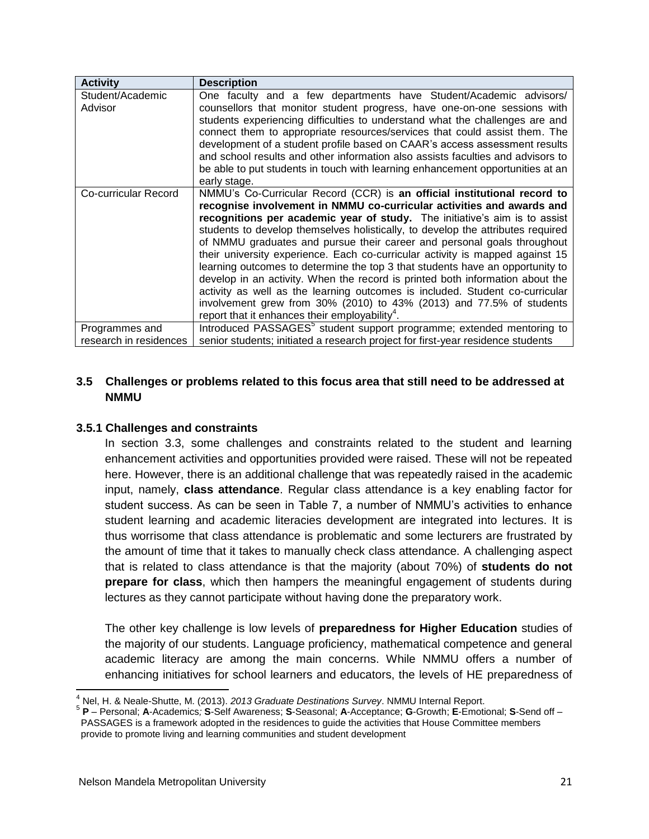| <b>Activity</b>        | Description                                                                       |
|------------------------|-----------------------------------------------------------------------------------|
| Student/Academic       | One faculty and a few departments have Student/Academic advisors/                 |
| Advisor                | counsellors that monitor student progress, have one-on-one sessions with          |
|                        | students experiencing difficulties to understand what the challenges are and      |
|                        | connect them to appropriate resources/services that could assist them. The        |
|                        | development of a student profile based on CAAR's access assessment results        |
|                        | and school results and other information also assists faculties and advisors to   |
|                        | be able to put students in touch with learning enhancement opportunities at an    |
|                        | early stage.                                                                      |
| Co-curricular Record   | NMMU's Co-Curricular Record (CCR) is an official institutional record to          |
|                        | recognise involvement in NMMU co-curricular activities and awards and             |
|                        | recognitions per academic year of study. The initiative's aim is to assist        |
|                        | students to develop themselves holistically, to develop the attributes required   |
|                        | of NMMU graduates and pursue their career and personal goals throughout           |
|                        | their university experience. Each co-curricular activity is mapped against 15     |
|                        | learning outcomes to determine the top 3 that students have an opportunity to     |
|                        | develop in an activity. When the record is printed both information about the     |
|                        | activity as well as the learning outcomes is included. Student co-curricular      |
|                        | involvement grew from 30% (2010) to 43% (2013) and 77.5% of students              |
|                        | report that it enhances their employability <sup>4</sup> .                        |
| Programmes and         | Introduced PASSAGES <sup>5</sup> student support programme; extended mentoring to |
| research in residences | senior students; initiated a research project for first-year residence students   |

#### **3.5 Challenges or problems related to this focus area that still need to be addressed at NMMU**

#### **3.5.1 Challenges and constraints**

In section 3.3, some challenges and constraints related to the student and learning enhancement activities and opportunities provided were raised. These will not be repeated here. However, there is an additional challenge that was repeatedly raised in the academic input, namely, **class attendance**. Regular class attendance is a key enabling factor for student success. As can be seen in Table 7, a number of NMMU's activities to enhance student learning and academic literacies development are integrated into lectures. It is thus worrisome that class attendance is problematic and some lecturers are frustrated by the amount of time that it takes to manually check class attendance. A challenging aspect that is related to class attendance is that the majority (about 70%) of **students do not prepare for class**, which then hampers the meaningful engagement of students during lectures as they cannot participate without having done the preparatory work.

The other key challenge is low levels of **preparedness for Higher Education** studies of the majority of our students. Language proficiency, mathematical competence and general academic literacy are among the main concerns. While NMMU offers a number of enhancing initiatives for school learners and educators, the levels of HE preparedness of

 $\overline{\phantom{a}}$ <sup>4</sup> Nel, H. & Neale-Shutte, M. (2013). *2013 Graduate Destinations Survey*. NMMU Internal Report.

<sup>5</sup> **P** – Personal; **A**-Academics*;* **S**-Self Awareness; **S**-Seasonal; **A**-Acceptance; **G**-Growth; **E**-Emotional; **S**-Send off – PASSAGES is a framework adopted in the residences to guide the activities that House Committee members provide to promote living and learning communities and student development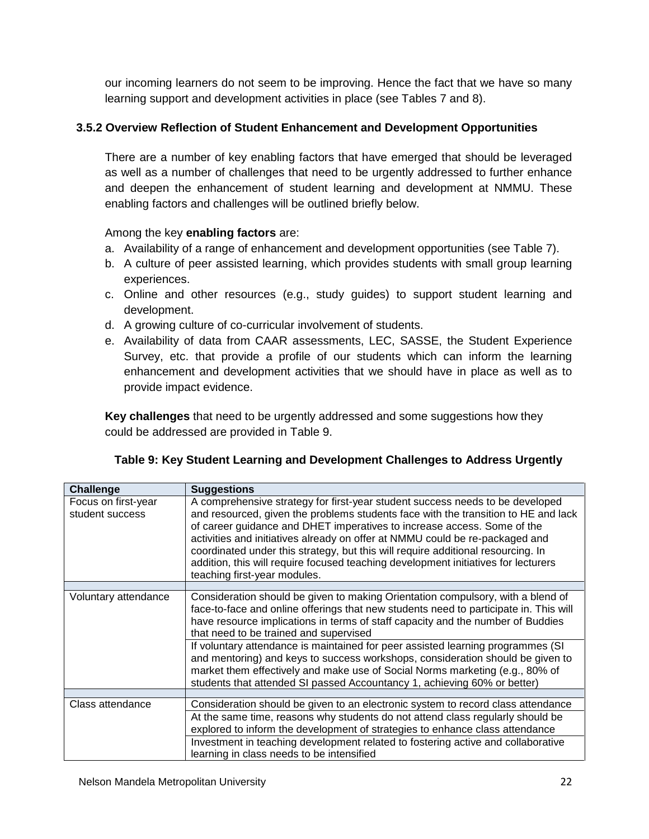our incoming learners do not seem to be improving. Hence the fact that we have so many learning support and development activities in place (see Tables 7 and 8).

#### **3.5.2 Overview Reflection of Student Enhancement and Development Opportunities**

There are a number of key enabling factors that have emerged that should be leveraged as well as a number of challenges that need to be urgently addressed to further enhance and deepen the enhancement of student learning and development at NMMU. These enabling factors and challenges will be outlined briefly below.

#### Among the key **enabling factors** are:

- a. Availability of a range of enhancement and development opportunities (see Table 7).
- b. A culture of peer assisted learning, which provides students with small group learning experiences.
- c. Online and other resources (e.g., study guides) to support student learning and development.
- d. A growing culture of co-curricular involvement of students.
- e. Availability of data from CAAR assessments, LEC, SASSE, the Student Experience Survey, etc. that provide a profile of our students which can inform the learning enhancement and development activities that we should have in place as well as to provide impact evidence.

**Key challenges** that need to be urgently addressed and some suggestions how they could be addressed are provided in Table 9.

| Table 9: Key Student Learning and Development Challenges to Address Urgently |  |  |
|------------------------------------------------------------------------------|--|--|
|                                                                              |  |  |

| Challenge                              | <b>Suggestions</b>                                                                                                                                                                                                                                                                                                                                                                                                                                                                                                                       |
|----------------------------------------|------------------------------------------------------------------------------------------------------------------------------------------------------------------------------------------------------------------------------------------------------------------------------------------------------------------------------------------------------------------------------------------------------------------------------------------------------------------------------------------------------------------------------------------|
| Focus on first-year<br>student success | A comprehensive strategy for first-year student success needs to be developed<br>and resourced, given the problems students face with the transition to HE and lack<br>of career guidance and DHET imperatives to increase access. Some of the<br>activities and initiatives already on offer at NMMU could be re-packaged and<br>coordinated under this strategy, but this will require additional resourcing. In<br>addition, this will require focused teaching development initiatives for lecturers<br>teaching first-year modules. |
|                                        |                                                                                                                                                                                                                                                                                                                                                                                                                                                                                                                                          |
| Voluntary attendance                   | Consideration should be given to making Orientation compulsory, with a blend of<br>face-to-face and online offerings that new students need to participate in. This will<br>have resource implications in terms of staff capacity and the number of Buddies<br>that need to be trained and supervised                                                                                                                                                                                                                                    |
|                                        | If voluntary attendance is maintained for peer assisted learning programmes (SI<br>and mentoring) and keys to success workshops, consideration should be given to<br>market them effectively and make use of Social Norms marketing (e.g., 80% of<br>students that attended SI passed Accountancy 1, achieving 60% or better)                                                                                                                                                                                                            |
|                                        |                                                                                                                                                                                                                                                                                                                                                                                                                                                                                                                                          |
| Class attendance                       | Consideration should be given to an electronic system to record class attendance                                                                                                                                                                                                                                                                                                                                                                                                                                                         |
|                                        | At the same time, reasons why students do not attend class regularly should be                                                                                                                                                                                                                                                                                                                                                                                                                                                           |
|                                        | explored to inform the development of strategies to enhance class attendance                                                                                                                                                                                                                                                                                                                                                                                                                                                             |
|                                        | Investment in teaching development related to fostering active and collaborative<br>learning in class needs to be intensified                                                                                                                                                                                                                                                                                                                                                                                                            |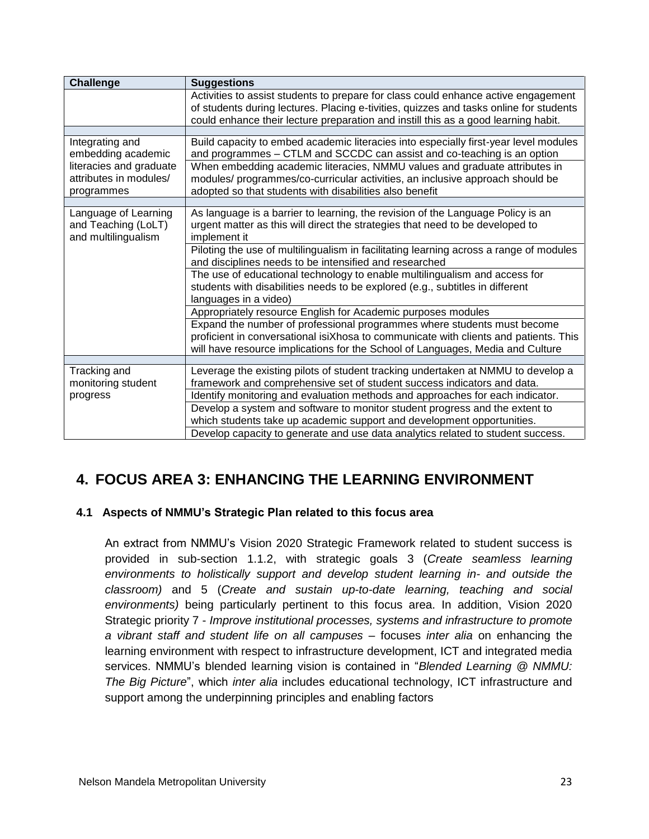| <b>Challenge</b>                                                   | <b>Suggestions</b>                                                                                                                                                                                                     |
|--------------------------------------------------------------------|------------------------------------------------------------------------------------------------------------------------------------------------------------------------------------------------------------------------|
|                                                                    | Activities to assist students to prepare for class could enhance active engagement                                                                                                                                     |
|                                                                    | of students during lectures. Placing e-tivities, quizzes and tasks online for students<br>could enhance their lecture preparation and instill this as a good learning habit.                                           |
|                                                                    |                                                                                                                                                                                                                        |
| Integrating and<br>embedding academic                              | Build capacity to embed academic literacies into especially first-year level modules<br>and programmes - CTLM and SCCDC can assist and co-teaching is an option                                                        |
| literacies and graduate<br>attributes in modules/<br>programmes    | When embedding academic literacies, NMMU values and graduate attributes in<br>modules/ programmes/co-curricular activities, an inclusive approach should be<br>adopted so that students with disabilities also benefit |
|                                                                    |                                                                                                                                                                                                                        |
| Language of Learning<br>and Teaching (LoLT)<br>and multilingualism | As language is a barrier to learning, the revision of the Language Policy is an<br>urgent matter as this will direct the strategies that need to be developed to<br>implement it                                       |
|                                                                    | Piloting the use of multilingualism in facilitating learning across a range of modules<br>and disciplines needs to be intensified and researched                                                                       |
|                                                                    | The use of educational technology to enable multilingualism and access for<br>students with disabilities needs to be explored (e.g., subtitles in different<br>languages in a video)                                   |
|                                                                    | Appropriately resource English for Academic purposes modules                                                                                                                                                           |
|                                                                    | Expand the number of professional programmes where students must become                                                                                                                                                |
|                                                                    | proficient in conversational isiXhosa to communicate with clients and patients. This<br>will have resource implications for the School of Languages, Media and Culture                                                 |
|                                                                    |                                                                                                                                                                                                                        |
| Tracking and                                                       | Leverage the existing pilots of student tracking undertaken at NMMU to develop a                                                                                                                                       |
| monitoring student                                                 | framework and comprehensive set of student success indicators and data.                                                                                                                                                |
| progress                                                           | Identify monitoring and evaluation methods and approaches for each indicator.                                                                                                                                          |
|                                                                    | Develop a system and software to monitor student progress and the extent to                                                                                                                                            |
|                                                                    | which students take up academic support and development opportunities.                                                                                                                                                 |
|                                                                    | Develop capacity to generate and use data analytics related to student success.                                                                                                                                        |

# **4. FOCUS AREA 3: ENHANCING THE LEARNING ENVIRONMENT**

#### **4.1 Aspects of NMMU's Strategic Plan related to this focus area**

An extract from NMMU's Vision 2020 Strategic Framework related to student success is provided in sub-section 1.1.2, with strategic goals 3 (*Create seamless learning environments to holistically support and develop student learning in- and outside the classroom)* and 5 (*Create and sustain up-to-date learning, teaching and social environments)* being particularly pertinent to this focus area. In addition, Vision 2020 Strategic priority 7 - *Improve institutional processes, systems and infrastructure to promote a vibrant staff and student life on all campuses* – focuses *inter alia* on enhancing the learning environment with respect to infrastructure development, ICT and integrated media services. NMMU's blended learning vision is contained in "*Blended Learning @ NMMU: The Big Picture*", which *inter alia* includes educational technology, ICT infrastructure and support among the underpinning principles and enabling factors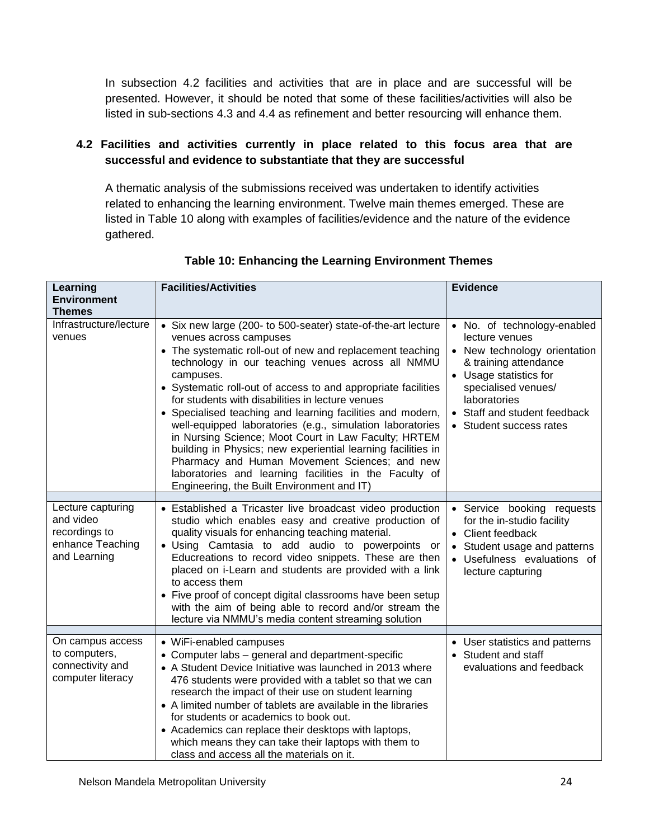In subsection 4.2 facilities and activities that are in place and are successful will be presented. However, it should be noted that some of these facilities/activities will also be listed in sub-sections 4.3 and 4.4 as refinement and better resourcing will enhance them.

## **4.2 Facilities and activities currently in place related to this focus area that are successful and evidence to substantiate that they are successful**

A thematic analysis of the submissions received was undertaken to identify activities related to enhancing the learning environment. Twelve main themes emerged. These are listed in Table 10 along with examples of facilities/evidence and the nature of the evidence gathered.

| Learning<br><b>Environment</b><br><b>Themes</b>                                     | <b>Facilities/Activities</b>                                                                                                                                                                                                                                                                                                                                                                                                                                                                                                                                                                                                                                                                                                                            | <b>Evidence</b>                                                                                                                                                                                                                    |
|-------------------------------------------------------------------------------------|---------------------------------------------------------------------------------------------------------------------------------------------------------------------------------------------------------------------------------------------------------------------------------------------------------------------------------------------------------------------------------------------------------------------------------------------------------------------------------------------------------------------------------------------------------------------------------------------------------------------------------------------------------------------------------------------------------------------------------------------------------|------------------------------------------------------------------------------------------------------------------------------------------------------------------------------------------------------------------------------------|
| Infrastructure/lecture<br>venues                                                    | • Six new large (200- to 500-seater) state-of-the-art lecture<br>venues across campuses<br>• The systematic roll-out of new and replacement teaching<br>technology in our teaching venues across all NMMU<br>campuses.<br>• Systematic roll-out of access to and appropriate facilities<br>for students with disabilities in lecture venues<br>• Specialised teaching and learning facilities and modern,<br>well-equipped laboratories (e.g., simulation laboratories<br>in Nursing Science; Moot Court in Law Faculty; HRTEM<br>building in Physics; new experiential learning facilities in<br>Pharmacy and Human Movement Sciences; and new<br>laboratories and learning facilities in the Faculty of<br>Engineering, the Built Environment and IT) | • No. of technology-enabled<br>lecture venues<br>• New technology orientation<br>& training attendance<br>• Usage statistics for<br>specialised venues/<br>laboratories<br>• Staff and student feedback<br>• Student success rates |
| Lecture capturing<br>and video<br>recordings to<br>enhance Teaching<br>and Learning | • Established a Tricaster live broadcast video production<br>studio which enables easy and creative production of<br>quality visuals for enhancing teaching material.<br>· Using Camtasia to add audio to powerpoints or<br>Educreations to record video snippets. These are then<br>placed on i-Learn and students are provided with a link<br>to access them<br>• Five proof of concept digital classrooms have been setup<br>with the aim of being able to record and/or stream the<br>lecture via NMMU's media content streaming solution                                                                                                                                                                                                           | • Service booking requests<br>for the in-studio facility<br>• Client feedback<br>• Student usage and patterns<br>• Usefulness evaluations of<br>lecture capturing                                                                  |
|                                                                                     |                                                                                                                                                                                                                                                                                                                                                                                                                                                                                                                                                                                                                                                                                                                                                         |                                                                                                                                                                                                                                    |
| On campus access<br>to computers,<br>connectivity and<br>computer literacy          | • WiFi-enabled campuses<br>• Computer labs - general and department-specific<br>• A Student Device Initiative was launched in 2013 where<br>476 students were provided with a tablet so that we can<br>research the impact of their use on student learning<br>• A limited number of tablets are available in the libraries<br>for students or academics to book out.<br>• Academics can replace their desktops with laptops,<br>which means they can take their laptops with them to<br>class and access all the materials on it.                                                                                                                                                                                                                      | • User statistics and patterns<br>• Student and staff<br>evaluations and feedback                                                                                                                                                  |

**Table 10: Enhancing the Learning Environment Themes**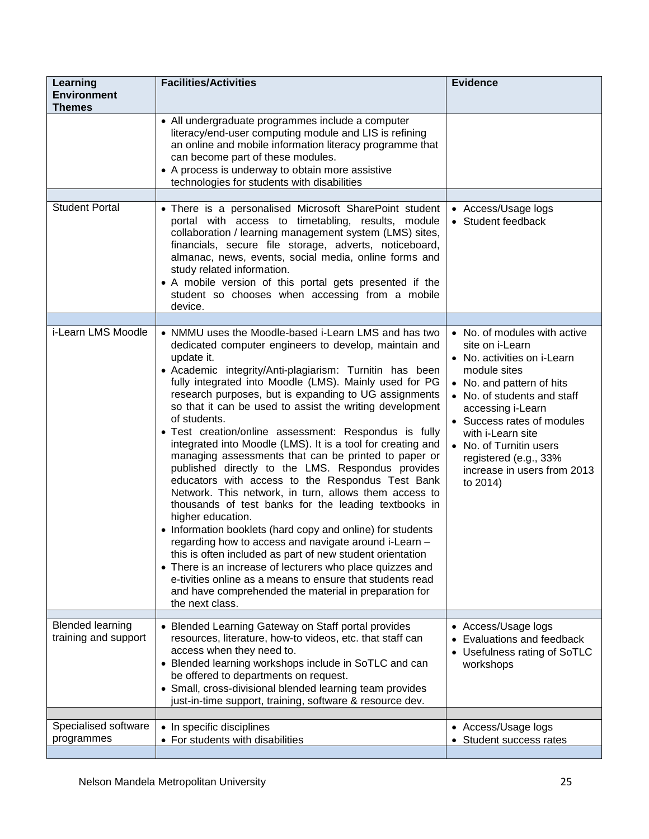| Learning<br><b>Environment</b><br><b>Themes</b> | <b>Facilities/Activities</b>                                                                                                                                                                                                                                                                                                                                                                                                                                                                                                                                                                                                                                                                                                                                                                                                                                                                                                                                                                                                                                                                                                                                                                                   | <b>Evidence</b>                                                                                                                                                                                                                                                                                                                   |
|-------------------------------------------------|----------------------------------------------------------------------------------------------------------------------------------------------------------------------------------------------------------------------------------------------------------------------------------------------------------------------------------------------------------------------------------------------------------------------------------------------------------------------------------------------------------------------------------------------------------------------------------------------------------------------------------------------------------------------------------------------------------------------------------------------------------------------------------------------------------------------------------------------------------------------------------------------------------------------------------------------------------------------------------------------------------------------------------------------------------------------------------------------------------------------------------------------------------------------------------------------------------------|-----------------------------------------------------------------------------------------------------------------------------------------------------------------------------------------------------------------------------------------------------------------------------------------------------------------------------------|
|                                                 | • All undergraduate programmes include a computer<br>literacy/end-user computing module and LIS is refining<br>an online and mobile information literacy programme that<br>can become part of these modules.<br>• A process is underway to obtain more assistive<br>technologies for students with disabilities                                                                                                                                                                                                                                                                                                                                                                                                                                                                                                                                                                                                                                                                                                                                                                                                                                                                                                |                                                                                                                                                                                                                                                                                                                                   |
| <b>Student Portal</b>                           | • There is a personalised Microsoft SharePoint student                                                                                                                                                                                                                                                                                                                                                                                                                                                                                                                                                                                                                                                                                                                                                                                                                                                                                                                                                                                                                                                                                                                                                         | • Access/Usage logs                                                                                                                                                                                                                                                                                                               |
|                                                 | portal with access to timetabling, results, module<br>collaboration / learning management system (LMS) sites,<br>financials, secure file storage, adverts, noticeboard,<br>almanac, news, events, social media, online forms and<br>study related information.<br>• A mobile version of this portal gets presented if the<br>student so chooses when accessing from a mobile<br>device.                                                                                                                                                                                                                                                                                                                                                                                                                                                                                                                                                                                                                                                                                                                                                                                                                        | • Student feedback                                                                                                                                                                                                                                                                                                                |
| i-Learn LMS Moodle                              |                                                                                                                                                                                                                                                                                                                                                                                                                                                                                                                                                                                                                                                                                                                                                                                                                                                                                                                                                                                                                                                                                                                                                                                                                |                                                                                                                                                                                                                                                                                                                                   |
|                                                 | • NMMU uses the Moodle-based i-Learn LMS and has two<br>dedicated computer engineers to develop, maintain and<br>update it.<br>• Academic integrity/Anti-plagiarism: Turnitin has been<br>fully integrated into Moodle (LMS). Mainly used for PG<br>research purposes, but is expanding to UG assignments<br>so that it can be used to assist the writing development<br>of students.<br>• Test creation/online assessment: Respondus is fully<br>integrated into Moodle (LMS). It is a tool for creating and<br>managing assessments that can be printed to paper or<br>published directly to the LMS. Respondus provides<br>educators with access to the Respondus Test Bank<br>Network. This network, in turn, allows them access to<br>thousands of test banks for the leading textbooks in<br>higher education.<br>• Information booklets (hard copy and online) for students<br>regarding how to access and navigate around i-Learn -<br>this is often included as part of new student orientation<br>• There is an increase of lecturers who place quizzes and<br>e-tivities online as a means to ensure that students read<br>and have comprehended the material in preparation for<br>the next class. | • No. of modules with active<br>site on i-Learn<br>• No. activities on i-Learn<br>module sites<br>• No. and pattern of hits<br>• No. of students and staff<br>accessing i-Learn<br>• Success rates of modules<br>with i-Learn site<br>• No. of Turnitin users<br>registered (e.g., 33%<br>increase in users from 2013<br>to 2014) |
| <b>Blended learning</b>                         | • Blended Learning Gateway on Staff portal provides                                                                                                                                                                                                                                                                                                                                                                                                                                                                                                                                                                                                                                                                                                                                                                                                                                                                                                                                                                                                                                                                                                                                                            | • Access/Usage logs                                                                                                                                                                                                                                                                                                               |
| training and support                            | resources, literature, how-to videos, etc. that staff can<br>access when they need to.<br>• Blended learning workshops include in SoTLC and can<br>be offered to departments on request.<br>• Small, cross-divisional blended learning team provides<br>just-in-time support, training, software & resource dev.                                                                                                                                                                                                                                                                                                                                                                                                                                                                                                                                                                                                                                                                                                                                                                                                                                                                                               | Evaluations and feedback<br>• Usefulness rating of SoTLC<br>workshops                                                                                                                                                                                                                                                             |
| Specialised software                            | • In specific disciplines                                                                                                                                                                                                                                                                                                                                                                                                                                                                                                                                                                                                                                                                                                                                                                                                                                                                                                                                                                                                                                                                                                                                                                                      | • Access/Usage logs                                                                                                                                                                                                                                                                                                               |
| programmes                                      | • For students with disabilities                                                                                                                                                                                                                                                                                                                                                                                                                                                                                                                                                                                                                                                                                                                                                                                                                                                                                                                                                                                                                                                                                                                                                                               | Student success rates                                                                                                                                                                                                                                                                                                             |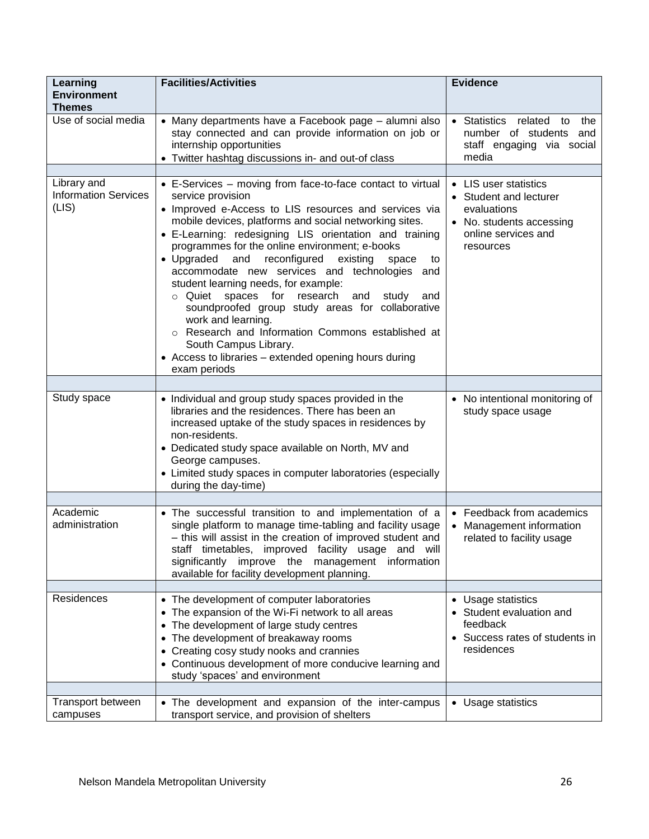| Learning<br><b>Environment</b><br><b>Themes</b>     | <b>Facilities/Activities</b>                                                                                                                                                                                                                                                                                                                                                                                                                                                                                                                                                                                                                                                                                                                             | <b>Evidence</b>                                                                                                                |
|-----------------------------------------------------|----------------------------------------------------------------------------------------------------------------------------------------------------------------------------------------------------------------------------------------------------------------------------------------------------------------------------------------------------------------------------------------------------------------------------------------------------------------------------------------------------------------------------------------------------------------------------------------------------------------------------------------------------------------------------------------------------------------------------------------------------------|--------------------------------------------------------------------------------------------------------------------------------|
| Use of social media                                 | • Many departments have a Facebook page – alumni also<br>stay connected and can provide information on job or<br>internship opportunities<br>• Twitter hashtag discussions in- and out-of class                                                                                                                                                                                                                                                                                                                                                                                                                                                                                                                                                          | • Statistics<br>related<br>the<br>to<br>number of students<br>and<br>staff engaging via social<br>media                        |
|                                                     |                                                                                                                                                                                                                                                                                                                                                                                                                                                                                                                                                                                                                                                                                                                                                          |                                                                                                                                |
| Library and<br><b>Information Services</b><br>(LIS) | • E-Services – moving from face-to-face contact to virtual<br>service provision<br>• Improved e-Access to LIS resources and services via<br>mobile devices, platforms and social networking sites.<br>• E-Learning: redesigning LIS orientation and training<br>programmes for the online environment; e-books<br>• Upgraded and reconfigured<br>existing<br>space<br>to<br>accommodate new services and technologies and<br>student learning needs, for example:<br>o Quiet spaces for research<br>and<br>study<br>and<br>soundproofed group study areas for collaborative<br>work and learning.<br>o Research and Information Commons established at<br>South Campus Library.<br>• Access to libraries - extended opening hours during<br>exam periods | • LIS user statistics<br>• Student and lecturer<br>evaluations<br>• No. students accessing<br>online services and<br>resources |
|                                                     |                                                                                                                                                                                                                                                                                                                                                                                                                                                                                                                                                                                                                                                                                                                                                          |                                                                                                                                |
| Study space                                         | • Individual and group study spaces provided in the<br>libraries and the residences. There has been an<br>increased uptake of the study spaces in residences by<br>non-residents.<br>• Dedicated study space available on North, MV and<br>George campuses.<br>• Limited study spaces in computer laboratories (especially<br>during the day-time)                                                                                                                                                                                                                                                                                                                                                                                                       | • No intentional monitoring of<br>study space usage                                                                            |
|                                                     |                                                                                                                                                                                                                                                                                                                                                                                                                                                                                                                                                                                                                                                                                                                                                          |                                                                                                                                |
| Academic<br>administration                          | • The successful transition to and implementation of a<br>single platform to manage time-tabling and facility usage<br>- this will assist in the creation of improved student and<br>staff timetables, improved facility usage and will<br>significantly improve the management information<br>available for facility development planning.                                                                                                                                                                                                                                                                                                                                                                                                              | • Feedback from academics<br>• Management information<br>related to facility usage                                             |
|                                                     |                                                                                                                                                                                                                                                                                                                                                                                                                                                                                                                                                                                                                                                                                                                                                          |                                                                                                                                |
| Residences                                          | • The development of computer laboratories<br>• The expansion of the Wi-Fi network to all areas<br>• The development of large study centres<br>• The development of breakaway rooms<br>• Creating cosy study nooks and crannies<br>• Continuous development of more conducive learning and<br>study 'spaces' and environment                                                                                                                                                                                                                                                                                                                                                                                                                             | • Usage statistics<br>• Student evaluation and<br>feedback<br>• Success rates of students in<br>residences                     |
|                                                     |                                                                                                                                                                                                                                                                                                                                                                                                                                                                                                                                                                                                                                                                                                                                                          |                                                                                                                                |
| Transport between<br>campuses                       | • The development and expansion of the inter-campus<br>transport service, and provision of shelters                                                                                                                                                                                                                                                                                                                                                                                                                                                                                                                                                                                                                                                      | • Usage statistics                                                                                                             |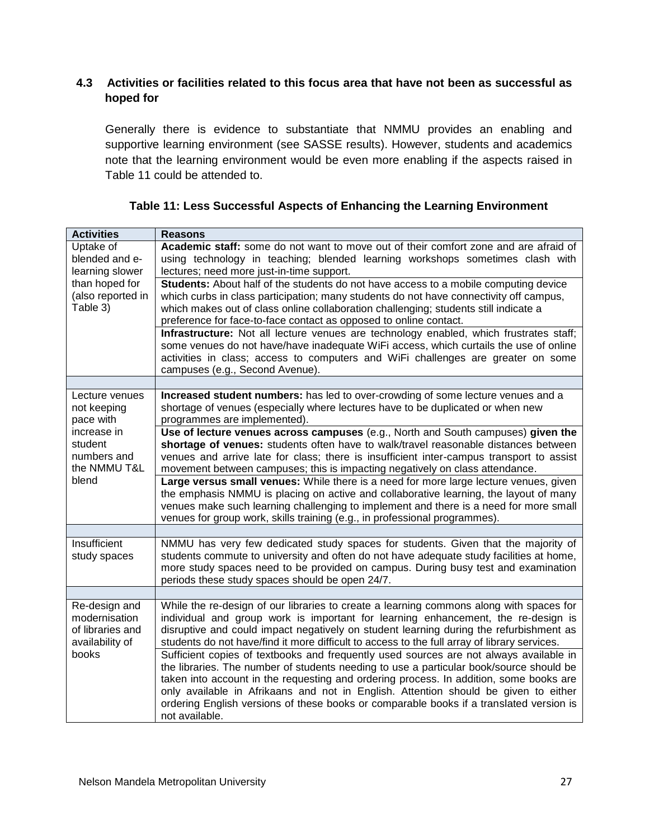## **4.3 Activities or facilities related to this focus area that have not been as successful as hoped for**

Generally there is evidence to substantiate that NMMU provides an enabling and supportive learning environment (see SASSE results). However, students and academics note that the learning environment would be even more enabling if the aspects raised in Table 11 could be attended to.

| <b>Activities</b>                                                     | <b>Reasons</b>                                                                                                                                                                                                                                                                                                                                                                                                                                                                  |
|-----------------------------------------------------------------------|---------------------------------------------------------------------------------------------------------------------------------------------------------------------------------------------------------------------------------------------------------------------------------------------------------------------------------------------------------------------------------------------------------------------------------------------------------------------------------|
| Uptake of<br>blended and e-<br>learning slower                        | Academic staff: some do not want to move out of their comfort zone and are afraid of<br>using technology in teaching; blended learning workshops sometimes clash with<br>lectures; need more just-in-time support.                                                                                                                                                                                                                                                              |
| than hoped for<br>(also reported in<br>Table 3)                       | Students: About half of the students do not have access to a mobile computing device<br>which curbs in class participation; many students do not have connectivity off campus,<br>which makes out of class online collaboration challenging; students still indicate a<br>preference for face-to-face contact as opposed to online contact.                                                                                                                                     |
|                                                                       | Infrastructure: Not all lecture venues are technology enabled, which frustrates staff;<br>some venues do not have/have inadequate WiFi access, which curtails the use of online<br>activities in class; access to computers and WiFi challenges are greater on some<br>campuses (e.g., Second Avenue).                                                                                                                                                                          |
|                                                                       |                                                                                                                                                                                                                                                                                                                                                                                                                                                                                 |
| Lecture venues<br>not keeping<br>pace with                            | Increased student numbers: has led to over-crowding of some lecture venues and a<br>shortage of venues (especially where lectures have to be duplicated or when new<br>programmes are implemented).                                                                                                                                                                                                                                                                             |
| increase in<br>student<br>numbers and<br>the NMMU T&L                 | Use of lecture venues across campuses (e.g., North and South campuses) given the<br>shortage of venues: students often have to walk/travel reasonable distances between<br>venues and arrive late for class; there is insufficient inter-campus transport to assist<br>movement between campuses; this is impacting negatively on class attendance.                                                                                                                             |
| blend                                                                 | Large versus small venues: While there is a need for more large lecture venues, given<br>the emphasis NMMU is placing on active and collaborative learning, the layout of many<br>venues make such learning challenging to implement and there is a need for more small<br>venues for group work, skills training (e.g., in professional programmes).                                                                                                                           |
|                                                                       |                                                                                                                                                                                                                                                                                                                                                                                                                                                                                 |
| Insufficient<br>study spaces                                          | NMMU has very few dedicated study spaces for students. Given that the majority of<br>students commute to university and often do not have adequate study facilities at home,<br>more study spaces need to be provided on campus. During busy test and examination<br>periods these study spaces should be open 24/7.                                                                                                                                                            |
|                                                                       |                                                                                                                                                                                                                                                                                                                                                                                                                                                                                 |
| Re-design and<br>modernisation<br>of libraries and<br>availability of | While the re-design of our libraries to create a learning commons along with spaces for<br>individual and group work is important for learning enhancement, the re-design is<br>disruptive and could impact negatively on student learning during the refurbishment as<br>students do not have/find it more difficult to access to the full array of library services.                                                                                                          |
| books                                                                 | Sufficient copies of textbooks and frequently used sources are not always available in<br>the libraries. The number of students needing to use a particular book/source should be<br>taken into account in the requesting and ordering process. In addition, some books are<br>only available in Afrikaans and not in English. Attention should be given to either<br>ordering English versions of these books or comparable books if a translated version is<br>not available. |

#### **Table 11: Less Successful Aspects of Enhancing the Learning Environment**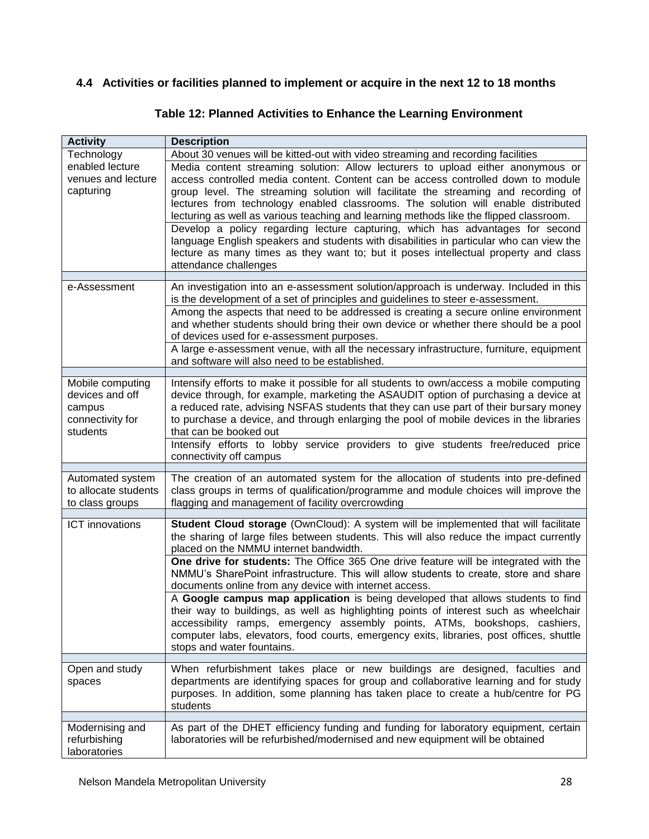## **4.4 Activities or facilities planned to implement or acquire in the next 12 to 18 months**

| <b>Activity</b>                                                               | <b>Description</b>                                                                                                                                                                                                                                                                                                                                                                                                                                                                                                                                                                                                                                                                                                                   |
|-------------------------------------------------------------------------------|--------------------------------------------------------------------------------------------------------------------------------------------------------------------------------------------------------------------------------------------------------------------------------------------------------------------------------------------------------------------------------------------------------------------------------------------------------------------------------------------------------------------------------------------------------------------------------------------------------------------------------------------------------------------------------------------------------------------------------------|
| Technology                                                                    | About 30 venues will be kitted-out with video streaming and recording facilities                                                                                                                                                                                                                                                                                                                                                                                                                                                                                                                                                                                                                                                     |
| enabled lecture<br>venues and lecture<br>capturing                            | Media content streaming solution: Allow lecturers to upload either anonymous or<br>access controlled media content. Content can be access controlled down to module<br>group level. The streaming solution will facilitate the streaming and recording of<br>lectures from technology enabled classrooms. The solution will enable distributed<br>lecturing as well as various teaching and learning methods like the flipped classroom.<br>Develop a policy regarding lecture capturing, which has advantages for second<br>language English speakers and students with disabilities in particular who can view the<br>lecture as many times as they want to; but it poses intellectual property and class<br>attendance challenges |
| e-Assessment                                                                  | An investigation into an e-assessment solution/approach is underway. Included in this                                                                                                                                                                                                                                                                                                                                                                                                                                                                                                                                                                                                                                                |
|                                                                               | is the development of a set of principles and guidelines to steer e-assessment.<br>Among the aspects that need to be addressed is creating a secure online environment<br>and whether students should bring their own device or whether there should be a pool<br>of devices used for e-assessment purposes.<br>A large e-assessment venue, with all the necessary infrastructure, furniture, equipment                                                                                                                                                                                                                                                                                                                              |
|                                                                               | and software will also need to be established.                                                                                                                                                                                                                                                                                                                                                                                                                                                                                                                                                                                                                                                                                       |
| Mobile computing<br>devices and off<br>campus<br>connectivity for<br>students | Intensify efforts to make it possible for all students to own/access a mobile computing<br>device through, for example, marketing the ASAUDIT option of purchasing a device at<br>a reduced rate, advising NSFAS students that they can use part of their bursary money<br>to purchase a device, and through enlarging the pool of mobile devices in the libraries<br>that can be booked out<br>Intensify efforts to lobby service providers to give students free/reduced price<br>connectivity off campus                                                                                                                                                                                                                          |
|                                                                               | The creation of an automated system for the allocation of students into pre-defined                                                                                                                                                                                                                                                                                                                                                                                                                                                                                                                                                                                                                                                  |
| Automated system<br>to allocate students<br>to class groups                   | class groups in terms of qualification/programme and module choices will improve the<br>flagging and management of facility overcrowding                                                                                                                                                                                                                                                                                                                                                                                                                                                                                                                                                                                             |
| <b>ICT</b> innovations                                                        | Student Cloud storage (OwnCloud): A system will be implemented that will facilitate<br>the sharing of large files between students. This will also reduce the impact currently<br>placed on the NMMU internet bandwidth.                                                                                                                                                                                                                                                                                                                                                                                                                                                                                                             |
|                                                                               | One drive for students: The Office 365 One drive feature will be integrated with the<br>NMMU's SharePoint infrastructure. This will allow students to create, store and share<br>documents online from any device with internet access.                                                                                                                                                                                                                                                                                                                                                                                                                                                                                              |
|                                                                               | A Google campus map application is being developed that allows students to find<br>their way to buildings, as well as highlighting points of interest such as wheelchair<br>accessibility ramps, emergency assembly points, ATMs, bookshops, cashiers,<br>computer labs, elevators, food courts, emergency exits, libraries, post offices, shuttle<br>stops and water fountains.                                                                                                                                                                                                                                                                                                                                                     |
| Open and study                                                                | When refurbishment takes place or new buildings are designed, faculties and                                                                                                                                                                                                                                                                                                                                                                                                                                                                                                                                                                                                                                                          |
| spaces                                                                        | departments are identifying spaces for group and collaborative learning and for study<br>purposes. In addition, some planning has taken place to create a hub/centre for PG<br>students                                                                                                                                                                                                                                                                                                                                                                                                                                                                                                                                              |
| Modernising and                                                               | As part of the DHET efficiency funding and funding for laboratory equipment, certain                                                                                                                                                                                                                                                                                                                                                                                                                                                                                                                                                                                                                                                 |
| refurbishing<br>laboratories                                                  | laboratories will be refurbished/modernised and new equipment will be obtained                                                                                                                                                                                                                                                                                                                                                                                                                                                                                                                                                                                                                                                       |

## **Table 12: Planned Activities to Enhance the Learning Environment**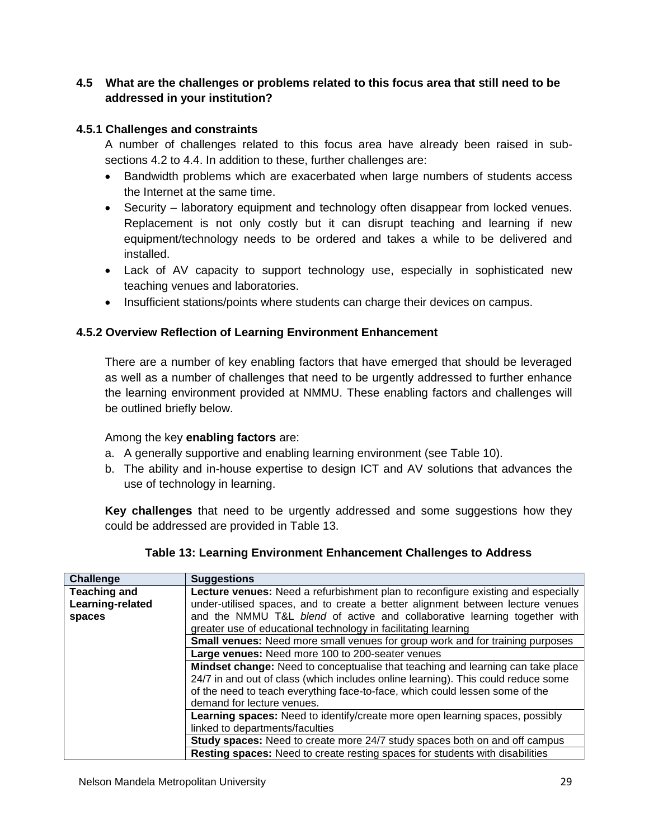## **4.5 What are the challenges or problems related to this focus area that still need to be addressed in your institution?**

## **4.5.1 Challenges and constraints**

A number of challenges related to this focus area have already been raised in subsections 4.2 to 4.4. In addition to these, further challenges are:

- Bandwidth problems which are exacerbated when large numbers of students access the Internet at the same time.
- Security laboratory equipment and technology often disappear from locked venues. Replacement is not only costly but it can disrupt teaching and learning if new equipment/technology needs to be ordered and takes a while to be delivered and installed.
- Lack of AV capacity to support technology use, especially in sophisticated new teaching venues and laboratories.
- Insufficient stations/points where students can charge their devices on campus.

#### **4.5.2 Overview Reflection of Learning Environment Enhancement**

There are a number of key enabling factors that have emerged that should be leveraged as well as a number of challenges that need to be urgently addressed to further enhance the learning environment provided at NMMU. These enabling factors and challenges will be outlined briefly below.

#### Among the key **enabling factors** are:

- a. A generally supportive and enabling learning environment (see Table 10).
- b. The ability and in-house expertise to design ICT and AV solutions that advances the use of technology in learning.

**Key challenges** that need to be urgently addressed and some suggestions how they could be addressed are provided in Table 13.

| Challenge           | <b>Suggestions</b>                                                                     |
|---------------------|----------------------------------------------------------------------------------------|
| <b>Teaching and</b> | Lecture venues: Need a refurbishment plan to reconfigure existing and especially       |
| Learning-related    | under-utilised spaces, and to create a better alignment between lecture venues         |
| spaces              | and the NMMU T&L blend of active and collaborative learning together with              |
|                     | greater use of educational technology in facilitating learning                         |
|                     | <b>Small venues:</b> Need more small venues for group work and for training purposes   |
|                     | Large venues: Need more 100 to 200-seater venues                                       |
|                     | <b>Mindset change:</b> Need to conceptualise that teaching and learning can take place |
|                     | 24/7 in and out of class (which includes online learning). This could reduce some      |
|                     | of the need to teach everything face-to-face, which could lessen some of the           |
|                     | demand for lecture venues.                                                             |
|                     | Learning spaces: Need to identify/create more open learning spaces, possibly           |
|                     | linked to departments/faculties                                                        |
|                     | <b>Study spaces:</b> Need to create more 24/7 study spaces both on and off campus      |
|                     | <b>Resting spaces:</b> Need to create resting spaces for students with disabilities    |

| Table 13: Learning Environment Enhancement Challenges to Address |
|------------------------------------------------------------------|
|------------------------------------------------------------------|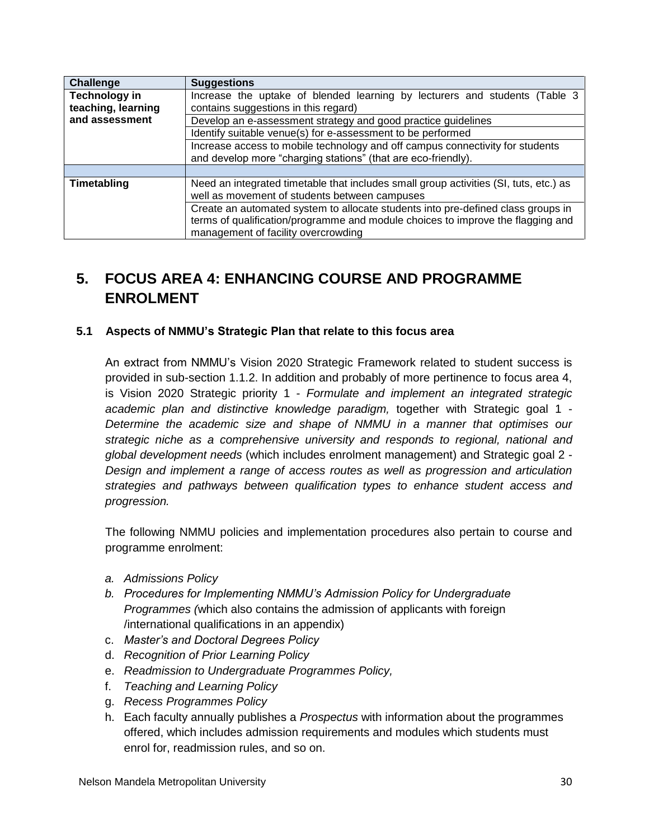| Challenge                                  | <b>Suggestions</b>                                                                                                                             |  |
|--------------------------------------------|------------------------------------------------------------------------------------------------------------------------------------------------|--|
| <b>Technology in</b><br>teaching, learning | Increase the uptake of blended learning by lecturers and students (Table 3<br>contains suggestions in this regard)                             |  |
| and assessment                             |                                                                                                                                                |  |
|                                            | Develop an e-assessment strategy and good practice guidelines                                                                                  |  |
|                                            | Identify suitable venue(s) for e-assessment to be performed                                                                                    |  |
|                                            | Increase access to mobile technology and off campus connectivity for students<br>and develop more "charging stations" (that are eco-friendly). |  |
|                                            |                                                                                                                                                |  |
| Timetabling                                | Need an integrated timetable that includes small group activities (SI, tuts, etc.) as<br>well as movement of students between campuses         |  |
|                                            | Create an automated system to allocate students into pre-defined class groups in                                                               |  |
|                                            | terms of qualification/programme and module choices to improve the flagging and                                                                |  |
|                                            | management of facility overcrowding                                                                                                            |  |

## **5. FOCUS AREA 4: ENHANCING COURSE AND PROGRAMME ENROLMENT**

#### **5.1 Aspects of NMMU's Strategic Plan that relate to this focus area**

An extract from NMMU's Vision 2020 Strategic Framework related to student success is provided in sub-section 1.1.2. In addition and probably of more pertinence to focus area 4, is Vision 2020 Strategic priority 1 - *Formulate and implement an integrated strategic academic plan and distinctive knowledge paradigm,* together with Strategic goal 1 - *Determine the academic size and shape of NMMU in a manner that optimises our strategic niche as a comprehensive university and responds to regional, national and global development needs* (which includes enrolment management) and Strategic goal 2 - *Design and implement a range of access routes as well as progression and articulation strategies and pathways between qualification types to enhance student access and progression.*

The following NMMU policies and implementation procedures also pertain to course and programme enrolment:

- *a. Admissions Policy*
- *b. Procedures for Implementing NMMU's Admission Policy for Undergraduate Programmes (*which also contains the admission of applicants with foreign /international qualifications in an appendix)
- c. *Master's and Doctoral Degrees Policy*
- d. *Recognition of Prior Learning Policy*
- e. *Readmission to Undergraduate Programmes Policy,*
- f. *Teaching and Learning Policy*
- g. *Recess Programmes Policy*
- h. Each faculty annually publishes a *Prospectus* with information about the programmes offered, which includes admission requirements and modules which students must enrol for, readmission rules, and so on.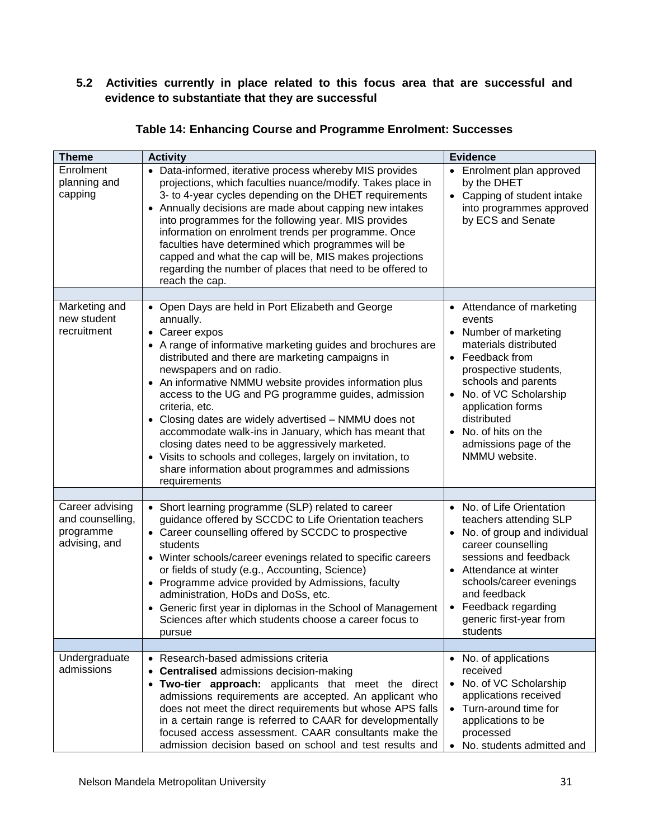## **5.2 Activities currently in place related to this focus area that are successful and evidence to substantiate that they are successful**

| <b>Theme</b>                                                      | <b>Activity</b>                                                                                                                                                                                                                                                                                                                                                                                                                                                                                                                                                                                                                                                              | <b>Evidence</b>                                                                                                                                                                                                                                                                                     |
|-------------------------------------------------------------------|------------------------------------------------------------------------------------------------------------------------------------------------------------------------------------------------------------------------------------------------------------------------------------------------------------------------------------------------------------------------------------------------------------------------------------------------------------------------------------------------------------------------------------------------------------------------------------------------------------------------------------------------------------------------------|-----------------------------------------------------------------------------------------------------------------------------------------------------------------------------------------------------------------------------------------------------------------------------------------------------|
| Enrolment<br>planning and<br>capping                              | • Data-informed, iterative process whereby MIS provides<br>projections, which faculties nuance/modify. Takes place in<br>3- to 4-year cycles depending on the DHET requirements<br>Annually decisions are made about capping new intakes<br>$\bullet$<br>into programmes for the following year. MIS provides<br>information on enrolment trends per programme. Once<br>faculties have determined which programmes will be<br>capped and what the cap will be, MIS makes projections<br>regarding the number of places that need to be offered to<br>reach the cap.                                                                                                          | • Enrolment plan approved<br>by the DHET<br>• Capping of student intake<br>into programmes approved<br>by ECS and Senate                                                                                                                                                                            |
|                                                                   |                                                                                                                                                                                                                                                                                                                                                                                                                                                                                                                                                                                                                                                                              |                                                                                                                                                                                                                                                                                                     |
| Marketing and<br>new student<br>recruitment                       | • Open Days are held in Port Elizabeth and George<br>annually.<br>• Career expos<br>• A range of informative marketing guides and brochures are<br>distributed and there are marketing campaigns in<br>newspapers and on radio.<br>• An informative NMMU website provides information plus<br>access to the UG and PG programme guides, admission<br>criteria, etc.<br>• Closing dates are widely advertised - NMMU does not<br>accommodate walk-ins in January, which has meant that<br>closing dates need to be aggressively marketed.<br>• Visits to schools and colleges, largely on invitation, to<br>share information about programmes and admissions<br>requirements | • Attendance of marketing<br>events<br>Number of marketing<br>$\bullet$<br>materials distributed<br>• Feedback from<br>prospective students,<br>schools and parents<br>No. of VC Scholarship<br>application forms<br>distributed<br>• No. of hits on the<br>admissions page of the<br>NMMU website. |
|                                                                   |                                                                                                                                                                                                                                                                                                                                                                                                                                                                                                                                                                                                                                                                              |                                                                                                                                                                                                                                                                                                     |
| Career advising<br>and counselling,<br>programme<br>advising, and | • Short learning programme (SLP) related to career<br>guidance offered by SCCDC to Life Orientation teachers<br>• Career counselling offered by SCCDC to prospective<br>students<br>• Winter schools/career evenings related to specific careers<br>or fields of study (e.g., Accounting, Science)<br>• Programme advice provided by Admissions, faculty<br>administration, HoDs and DoSs, etc.<br>• Generic first year in diplomas in the School of Management<br>Sciences after which students choose a career focus to<br>pursue                                                                                                                                          | • No. of Life Orientation<br>teachers attending SLP<br>• No. of group and individual<br>career counselling<br>sessions and feedback<br>• Attendance at winter<br>schools/career evenings<br>and feedback<br>• Feedback regarding<br>generic first-year from<br>students                             |
| Undergraduate                                                     | • Research-based admissions criteria                                                                                                                                                                                                                                                                                                                                                                                                                                                                                                                                                                                                                                         |                                                                                                                                                                                                                                                                                                     |
| admissions                                                        | <b>Centralised admissions decision-making</b><br>• Two-tier approach: applicants that meet the direct<br>admissions requirements are accepted. An applicant who<br>does not meet the direct requirements but whose APS falls<br>in a certain range is referred to CAAR for developmentally<br>focused access assessment. CAAR consultants make the<br>admission decision based on school and test results and                                                                                                                                                                                                                                                                | • No. of applications<br>received<br>• No. of VC Scholarship<br>applications received<br>• Turn-around time for<br>applications to be<br>processed<br>No. students admitted and                                                                                                                     |

#### **Table 14: Enhancing Course and Programme Enrolment: Successes**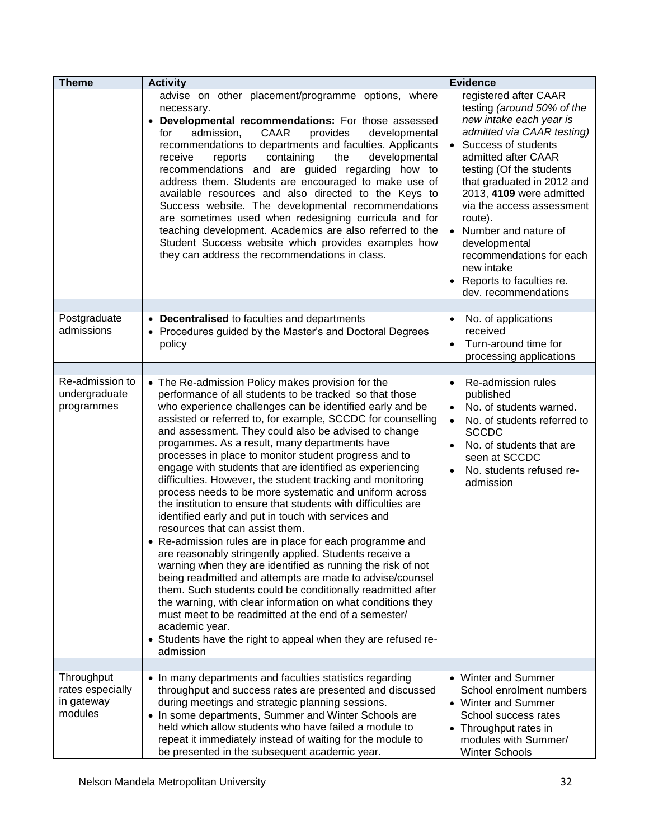| <b>Theme</b>                                            | <b>Activity</b>                                                                                                                                                                                                                                                                                                                                                                                                                                                                                                                                                                                                                                                                                                                                                                                                                                                                                                                                                                                                                                                                                                                                                                                                                                                                                 | <b>Evidence</b>                                                                                                                                                                                                                                                                                                                                                                                                                                |
|---------------------------------------------------------|-------------------------------------------------------------------------------------------------------------------------------------------------------------------------------------------------------------------------------------------------------------------------------------------------------------------------------------------------------------------------------------------------------------------------------------------------------------------------------------------------------------------------------------------------------------------------------------------------------------------------------------------------------------------------------------------------------------------------------------------------------------------------------------------------------------------------------------------------------------------------------------------------------------------------------------------------------------------------------------------------------------------------------------------------------------------------------------------------------------------------------------------------------------------------------------------------------------------------------------------------------------------------------------------------|------------------------------------------------------------------------------------------------------------------------------------------------------------------------------------------------------------------------------------------------------------------------------------------------------------------------------------------------------------------------------------------------------------------------------------------------|
|                                                         | advise on other placement/programme options, where<br>necessary.<br>Developmental recommendations: For those assessed<br>CAAR<br>admission,<br>provides<br>developmental<br>for<br>recommendations to departments and faculties. Applicants<br>receive<br>containing<br>the<br>developmental<br>reports<br>recommendations and are guided regarding how to<br>address them. Students are encouraged to make use of<br>available resources and also directed to the Keys to<br>Success website. The developmental recommendations<br>are sometimes used when redesigning curricula and for<br>teaching development. Academics are also referred to the<br>Student Success website which provides examples how<br>they can address the recommendations in class.                                                                                                                                                                                                                                                                                                                                                                                                                                                                                                                                  | registered after CAAR<br>testing (around 50% of the<br>new intake each year is<br>admitted via CAAR testing)<br>• Success of students<br>admitted after CAAR<br>testing (Of the students<br>that graduated in 2012 and<br>2013, 4109 were admitted<br>via the access assessment<br>route).<br>Number and nature of<br>developmental<br>recommendations for each<br>new intake<br>Reports to faculties re.<br>$\bullet$<br>dev. recommendations |
|                                                         |                                                                                                                                                                                                                                                                                                                                                                                                                                                                                                                                                                                                                                                                                                                                                                                                                                                                                                                                                                                                                                                                                                                                                                                                                                                                                                 |                                                                                                                                                                                                                                                                                                                                                                                                                                                |
| Postgraduate<br>admissions                              | <b>Decentralised</b> to faculties and departments<br>$\bullet$<br>• Procedures guided by the Master's and Doctoral Degrees<br>policy                                                                                                                                                                                                                                                                                                                                                                                                                                                                                                                                                                                                                                                                                                                                                                                                                                                                                                                                                                                                                                                                                                                                                            | No. of applications<br>$\bullet$<br>received<br>Turn-around time for<br>$\bullet$<br>processing applications                                                                                                                                                                                                                                                                                                                                   |
|                                                         |                                                                                                                                                                                                                                                                                                                                                                                                                                                                                                                                                                                                                                                                                                                                                                                                                                                                                                                                                                                                                                                                                                                                                                                                                                                                                                 |                                                                                                                                                                                                                                                                                                                                                                                                                                                |
| Re-admission to<br>undergraduate<br>programmes          | • The Re-admission Policy makes provision for the<br>performance of all students to be tracked so that those<br>who experience challenges can be identified early and be<br>assisted or referred to, for example, SCCDC for counselling<br>and assessment. They could also be advised to change<br>progammes. As a result, many departments have<br>processes in place to monitor student progress and to<br>engage with students that are identified as experiencing<br>difficulties. However, the student tracking and monitoring<br>process needs to be more systematic and uniform across<br>the institution to ensure that students with difficulties are<br>identified early and put in touch with services and<br>resources that can assist them.<br>• Re-admission rules are in place for each programme and<br>are reasonably stringently applied. Students receive a<br>warning when they are identified as running the risk of not<br>being readmitted and attempts are made to advise/counsel<br>them. Such students could be conditionally readmitted after<br>the warning, with clear information on what conditions they<br>must meet to be readmitted at the end of a semester/<br>academic year.<br>• Students have the right to appeal when they are refused re-<br>admission | Re-admission rules<br>$\bullet$<br>published<br>No. of students warned.<br>$\bullet$<br>No. of students referred to<br><b>SCCDC</b><br>No. of students that are<br>seen at SCCDC<br>No. students refused re-<br>$\bullet$<br>admission                                                                                                                                                                                                         |
|                                                         |                                                                                                                                                                                                                                                                                                                                                                                                                                                                                                                                                                                                                                                                                                                                                                                                                                                                                                                                                                                                                                                                                                                                                                                                                                                                                                 |                                                                                                                                                                                                                                                                                                                                                                                                                                                |
| Throughput<br>rates especially<br>in gateway<br>modules | • In many departments and faculties statistics regarding<br>throughput and success rates are presented and discussed<br>during meetings and strategic planning sessions.<br>• In some departments, Summer and Winter Schools are<br>held which allow students who have failed a module to<br>repeat it immediately instead of waiting for the module to<br>be presented in the subsequent academic year.                                                                                                                                                                                                                                                                                                                                                                                                                                                                                                                                                                                                                                                                                                                                                                                                                                                                                        | • Winter and Summer<br>School enrolment numbers<br>• Winter and Summer<br>School success rates<br>• Throughput rates in<br>modules with Summer/<br><b>Winter Schools</b>                                                                                                                                                                                                                                                                       |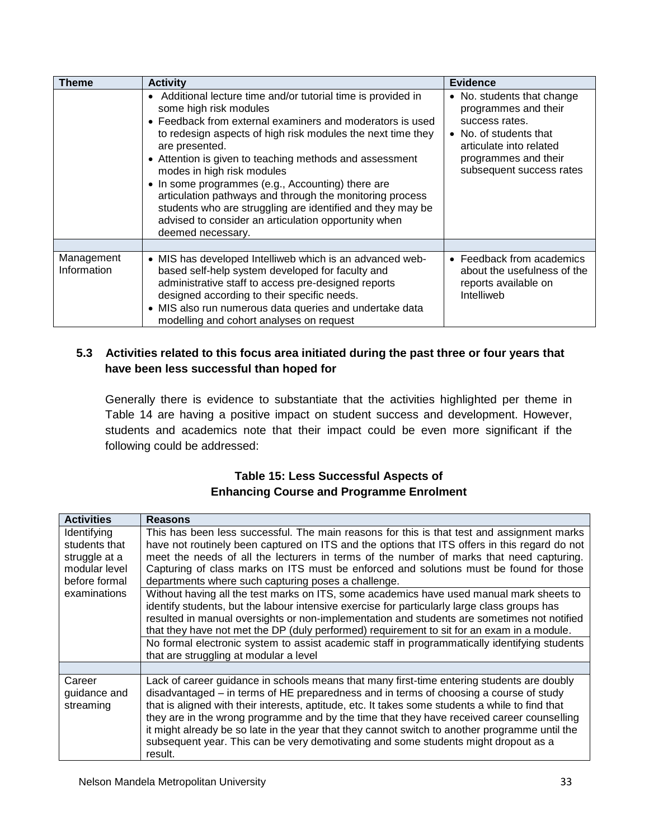| <b>Theme</b>              | <b>Activity</b>                                                                                                                                                                                                                                                                                                                                                                                                                                                                                                                                                                            | <b>Evidence</b>                                                                                                                                                               |
|---------------------------|--------------------------------------------------------------------------------------------------------------------------------------------------------------------------------------------------------------------------------------------------------------------------------------------------------------------------------------------------------------------------------------------------------------------------------------------------------------------------------------------------------------------------------------------------------------------------------------------|-------------------------------------------------------------------------------------------------------------------------------------------------------------------------------|
|                           | • Additional lecture time and/or tutorial time is provided in<br>some high risk modules<br>• Feedback from external examiners and moderators is used<br>to redesign aspects of high risk modules the next time they<br>are presented.<br>• Attention is given to teaching methods and assessment<br>modes in high risk modules<br>• In some programmes (e.g., Accounting) there are<br>articulation pathways and through the monitoring process<br>students who are struggling are identified and they may be<br>advised to consider an articulation opportunity when<br>deemed necessary. | • No. students that change<br>programmes and their<br>success rates.<br>• No. of students that<br>articulate into related<br>programmes and their<br>subsequent success rates |
|                           |                                                                                                                                                                                                                                                                                                                                                                                                                                                                                                                                                                                            |                                                                                                                                                                               |
| Management<br>Information | • MIS has developed Intelliweb which is an advanced web-<br>based self-help system developed for faculty and<br>administrative staff to access pre-designed reports<br>designed according to their specific needs.<br>• MIS also run numerous data queries and undertake data<br>modelling and cohort analyses on request                                                                                                                                                                                                                                                                  | • Feedback from academics<br>about the usefulness of the<br>reports available on<br>Intelliweb                                                                                |

## **5.3 Activities related to this focus area initiated during the past three or four years that have been less successful than hoped for**

Generally there is evidence to substantiate that the activities highlighted per theme in Table 14 are having a positive impact on student success and development. However, students and academics note that their impact could be even more significant if the following could be addressed:

## **Table 15: Less Successful Aspects of Enhancing Course and Programme Enrolment**

| <b>Activities</b>                   | <b>Reasons</b>                                                                                                                                                                                                                                                                                                                                                                                                                                                                                                                                                                             |  |
|-------------------------------------|--------------------------------------------------------------------------------------------------------------------------------------------------------------------------------------------------------------------------------------------------------------------------------------------------------------------------------------------------------------------------------------------------------------------------------------------------------------------------------------------------------------------------------------------------------------------------------------------|--|
| Identifying                         | This has been less successful. The main reasons for this is that test and assignment marks                                                                                                                                                                                                                                                                                                                                                                                                                                                                                                 |  |
| students that                       | have not routinely been captured on ITS and the options that ITS offers in this regard do not                                                                                                                                                                                                                                                                                                                                                                                                                                                                                              |  |
| struggle at a                       | meet the needs of all the lecturers in terms of the number of marks that need capturing.                                                                                                                                                                                                                                                                                                                                                                                                                                                                                                   |  |
| modular level                       | Capturing of class marks on ITS must be enforced and solutions must be found for those                                                                                                                                                                                                                                                                                                                                                                                                                                                                                                     |  |
| before formal                       | departments where such capturing poses a challenge.                                                                                                                                                                                                                                                                                                                                                                                                                                                                                                                                        |  |
| examinations                        | Without having all the test marks on ITS, some academics have used manual mark sheets to<br>identify students, but the labour intensive exercise for particularly large class groups has<br>resulted in manual oversights or non-implementation and students are sometimes not notified<br>that they have not met the DP (duly performed) requirement to sit for an exam in a module.                                                                                                                                                                                                      |  |
|                                     | No formal electronic system to assist academic staff in programmatically identifying students<br>that are struggling at modular a level                                                                                                                                                                                                                                                                                                                                                                                                                                                    |  |
|                                     |                                                                                                                                                                                                                                                                                                                                                                                                                                                                                                                                                                                            |  |
| Career<br>guidance and<br>streaming | Lack of career guidance in schools means that many first-time entering students are doubly<br>disadvantaged – in terms of HE preparedness and in terms of choosing a course of study<br>that is aligned with their interests, aptitude, etc. It takes some students a while to find that<br>they are in the wrong programme and by the time that they have received career counselling<br>it might already be so late in the year that they cannot switch to another programme until the<br>subsequent year. This can be very demotivating and some students might dropout as a<br>result. |  |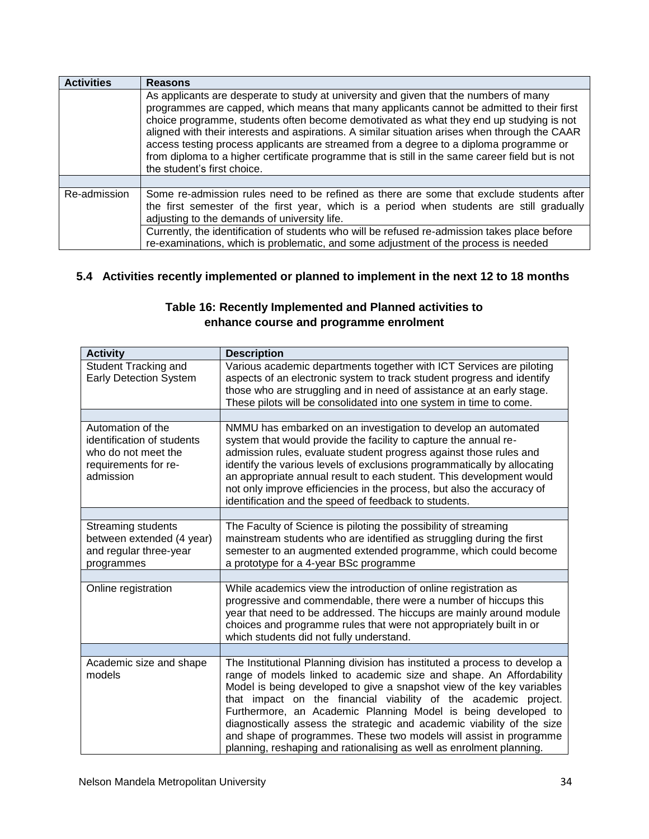| <b>Activities</b> | <b>Reasons</b>                                                                                                                                                                                                                                                                                                                                                                                                                                                                                                                                                                                               |
|-------------------|--------------------------------------------------------------------------------------------------------------------------------------------------------------------------------------------------------------------------------------------------------------------------------------------------------------------------------------------------------------------------------------------------------------------------------------------------------------------------------------------------------------------------------------------------------------------------------------------------------------|
|                   | As applicants are desperate to study at university and given that the numbers of many<br>programmes are capped, which means that many applicants cannot be admitted to their first<br>choice programme, students often become demotivated as what they end up studying is not<br>aligned with their interests and aspirations. A similar situation arises when through the CAAR<br>access testing process applicants are streamed from a degree to a diploma programme or<br>from diploma to a higher certificate programme that is still in the same career field but is not<br>the student's first choice. |
|                   |                                                                                                                                                                                                                                                                                                                                                                                                                                                                                                                                                                                                              |
| Re-admission      | Some re-admission rules need to be refined as there are some that exclude students after<br>the first semester of the first year, which is a period when students are still gradually<br>adjusting to the demands of university life.                                                                                                                                                                                                                                                                                                                                                                        |
|                   | Currently, the identification of students who will be refused re-admission takes place before<br>re-examinations, which is problematic, and some adjustment of the process is needed                                                                                                                                                                                                                                                                                                                                                                                                                         |

## **5.4 Activities recently implemented or planned to implement in the next 12 to 18 months**

| <b>Activity</b>                                                                                             | <b>Description</b>                                                                                                                                                                                                                                                                                                                                                                                                                                                                                                                                                                    |
|-------------------------------------------------------------------------------------------------------------|---------------------------------------------------------------------------------------------------------------------------------------------------------------------------------------------------------------------------------------------------------------------------------------------------------------------------------------------------------------------------------------------------------------------------------------------------------------------------------------------------------------------------------------------------------------------------------------|
| Student Tracking and<br><b>Early Detection System</b>                                                       | Various academic departments together with ICT Services are piloting<br>aspects of an electronic system to track student progress and identify<br>those who are struggling and in need of assistance at an early stage.<br>These pilots will be consolidated into one system in time to come.                                                                                                                                                                                                                                                                                         |
|                                                                                                             |                                                                                                                                                                                                                                                                                                                                                                                                                                                                                                                                                                                       |
| Automation of the<br>identification of students<br>who do not meet the<br>requirements for re-<br>admission | NMMU has embarked on an investigation to develop an automated<br>system that would provide the facility to capture the annual re-<br>admission rules, evaluate student progress against those rules and<br>identify the various levels of exclusions programmatically by allocating<br>an appropriate annual result to each student. This development would<br>not only improve efficiencies in the process, but also the accuracy of<br>identification and the speed of feedback to students.                                                                                        |
|                                                                                                             |                                                                                                                                                                                                                                                                                                                                                                                                                                                                                                                                                                                       |
| Streaming students<br>between extended (4 year)<br>and regular three-year<br>programmes                     | The Faculty of Science is piloting the possibility of streaming<br>mainstream students who are identified as struggling during the first<br>semester to an augmented extended programme, which could become<br>a prototype for a 4-year BSc programme                                                                                                                                                                                                                                                                                                                                 |
|                                                                                                             |                                                                                                                                                                                                                                                                                                                                                                                                                                                                                                                                                                                       |
| Online registration                                                                                         | While academics view the introduction of online registration as<br>progressive and commendable, there were a number of hiccups this<br>year that need to be addressed. The hiccups are mainly around module<br>choices and programme rules that were not appropriately built in or<br>which students did not fully understand.                                                                                                                                                                                                                                                        |
|                                                                                                             |                                                                                                                                                                                                                                                                                                                                                                                                                                                                                                                                                                                       |
| Academic size and shape<br>models                                                                           | The Institutional Planning division has instituted a process to develop a<br>range of models linked to academic size and shape. An Affordability<br>Model is being developed to give a snapshot view of the key variables<br>that impact on the financial viability of the academic project.<br>Furthermore, an Academic Planning Model is being developed to<br>diagnostically assess the strategic and academic viability of the size<br>and shape of programmes. These two models will assist in programme<br>planning, reshaping and rationalising as well as enrolment planning. |

## **Table 16: Recently Implemented and Planned activities to enhance course and programme enrolment**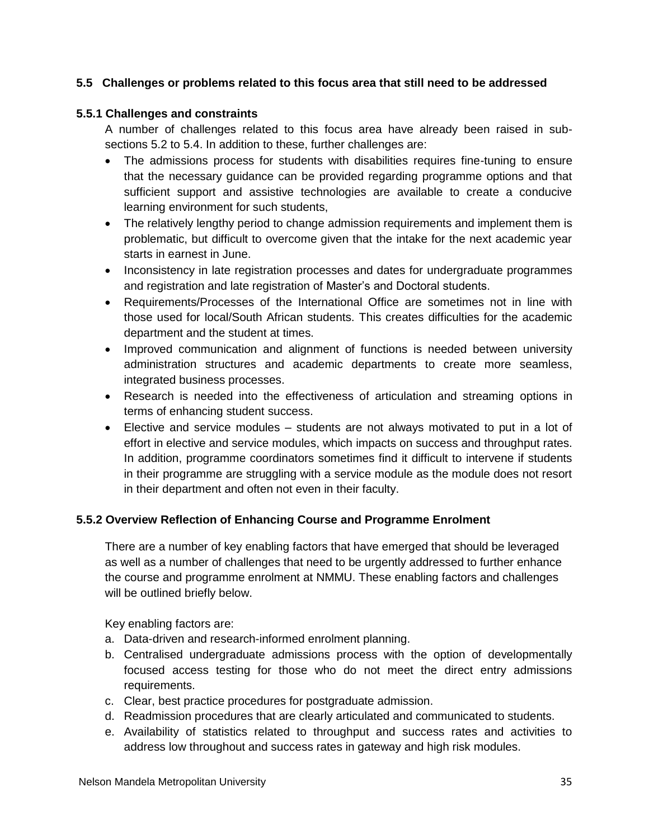#### **5.5 Challenges or problems related to this focus area that still need to be addressed**

#### **5.5.1 Challenges and constraints**

A number of challenges related to this focus area have already been raised in subsections 5.2 to 5.4. In addition to these, further challenges are:

- The admissions process for students with disabilities requires fine-tuning to ensure that the necessary guidance can be provided regarding programme options and that sufficient support and assistive technologies are available to create a conducive learning environment for such students,
- The relatively lengthy period to change admission requirements and implement them is problematic, but difficult to overcome given that the intake for the next academic year starts in earnest in June.
- Inconsistency in late registration processes and dates for undergraduate programmes and registration and late registration of Master's and Doctoral students.
- Requirements/Processes of the International Office are sometimes not in line with those used for local/South African students. This creates difficulties for the academic department and the student at times.
- Improved communication and alignment of functions is needed between university administration structures and academic departments to create more seamless, integrated business processes.
- Research is needed into the effectiveness of articulation and streaming options in terms of enhancing student success.
- Elective and service modules students are not always motivated to put in a lot of effort in elective and service modules, which impacts on success and throughput rates. In addition, programme coordinators sometimes find it difficult to intervene if students in their programme are struggling with a service module as the module does not resort in their department and often not even in their faculty.

#### **5.5.2 Overview Reflection of Enhancing Course and Programme Enrolment**

There are a number of key enabling factors that have emerged that should be leveraged as well as a number of challenges that need to be urgently addressed to further enhance the course and programme enrolment at NMMU. These enabling factors and challenges will be outlined briefly below.

Key enabling factors are:

- a. Data-driven and research-informed enrolment planning.
- b. Centralised undergraduate admissions process with the option of developmentally focused access testing for those who do not meet the direct entry admissions requirements.
- c. Clear, best practice procedures for postgraduate admission.
- d. Readmission procedures that are clearly articulated and communicated to students.
- e. Availability of statistics related to throughput and success rates and activities to address low throughout and success rates in gateway and high risk modules.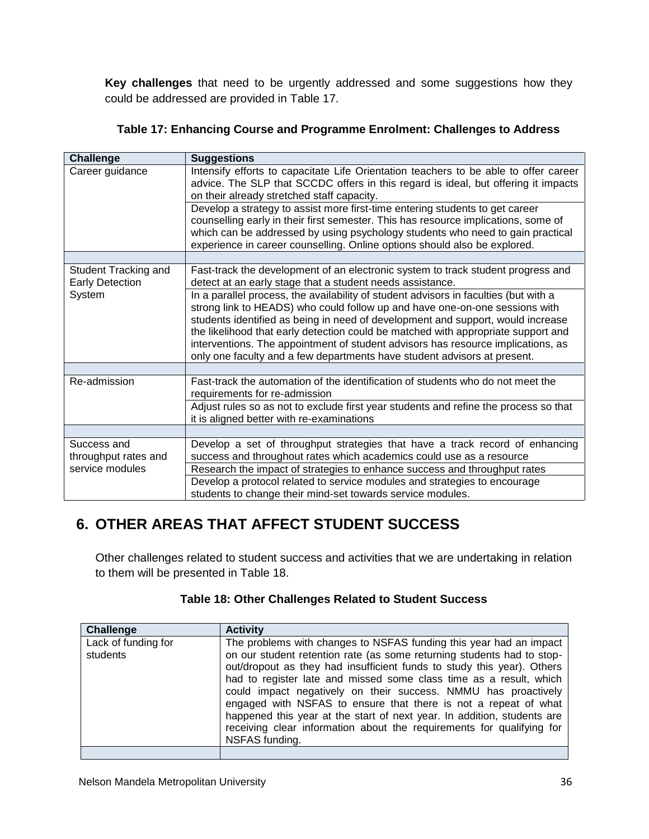**Key challenges** that need to be urgently addressed and some suggestions how they could be addressed are provided in Table 17.

| <b>Challenge</b>                               | <b>Suggestions</b>                                                                                                                                                                                                                                                                                                                                                                                                                                                                                          |
|------------------------------------------------|-------------------------------------------------------------------------------------------------------------------------------------------------------------------------------------------------------------------------------------------------------------------------------------------------------------------------------------------------------------------------------------------------------------------------------------------------------------------------------------------------------------|
| Career guidance                                | Intensify efforts to capacitate Life Orientation teachers to be able to offer career<br>advice. The SLP that SCCDC offers in this regard is ideal, but offering it impacts<br>on their already stretched staff capacity.                                                                                                                                                                                                                                                                                    |
|                                                | Develop a strategy to assist more first-time entering students to get career<br>counselling early in their first semester. This has resource implications, some of<br>which can be addressed by using psychology students who need to gain practical<br>experience in career counselling. Online options should also be explored.                                                                                                                                                                           |
|                                                |                                                                                                                                                                                                                                                                                                                                                                                                                                                                                                             |
| Student Tracking and<br><b>Early Detection</b> | Fast-track the development of an electronic system to track student progress and<br>detect at an early stage that a student needs assistance.                                                                                                                                                                                                                                                                                                                                                               |
| System                                         | In a parallel process, the availability of student advisors in faculties (but with a<br>strong link to HEADS) who could follow up and have one-on-one sessions with<br>students identified as being in need of development and support, would increase<br>the likelihood that early detection could be matched with appropriate support and<br>interventions. The appointment of student advisors has resource implications, as<br>only one faculty and a few departments have student advisors at present. |
|                                                |                                                                                                                                                                                                                                                                                                                                                                                                                                                                                                             |
| Re-admission                                   | Fast-track the automation of the identification of students who do not meet the<br>requirements for re-admission                                                                                                                                                                                                                                                                                                                                                                                            |
|                                                | Adjust rules so as not to exclude first year students and refine the process so that<br>it is aligned better with re-examinations                                                                                                                                                                                                                                                                                                                                                                           |
|                                                |                                                                                                                                                                                                                                                                                                                                                                                                                                                                                                             |
| Success and<br>throughput rates and            | Develop a set of throughput strategies that have a track record of enhancing<br>success and throughout rates which academics could use as a resource                                                                                                                                                                                                                                                                                                                                                        |
| service modules                                | Research the impact of strategies to enhance success and throughput rates                                                                                                                                                                                                                                                                                                                                                                                                                                   |
|                                                | Develop a protocol related to service modules and strategies to encourage<br>students to change their mind-set towards service modules.                                                                                                                                                                                                                                                                                                                                                                     |

## **6. OTHER AREAS THAT AFFECT STUDENT SUCCESS**

Other challenges related to student success and activities that we are undertaking in relation to them will be presented in Table 18.

| Table 18: Other Challenges Related to Student Success |  |
|-------------------------------------------------------|--|
|-------------------------------------------------------|--|

| <b>Challenge</b>                | <b>Activity</b>                                                                                                                                                                                                                                                                                                                                                                                                                                                                                                                                                                                         |
|---------------------------------|---------------------------------------------------------------------------------------------------------------------------------------------------------------------------------------------------------------------------------------------------------------------------------------------------------------------------------------------------------------------------------------------------------------------------------------------------------------------------------------------------------------------------------------------------------------------------------------------------------|
| Lack of funding for<br>students | The problems with changes to NSFAS funding this year had an impact<br>on our student retention rate (as some returning students had to stop-<br>out/dropout as they had insufficient funds to study this year). Others<br>had to register late and missed some class time as a result, which<br>could impact negatively on their success. NMMU has proactively<br>engaged with NSFAS to ensure that there is not a repeat of what<br>happened this year at the start of next year. In addition, students are<br>receiving clear information about the requirements for qualifying for<br>NSFAS funding. |
|                                 |                                                                                                                                                                                                                                                                                                                                                                                                                                                                                                                                                                                                         |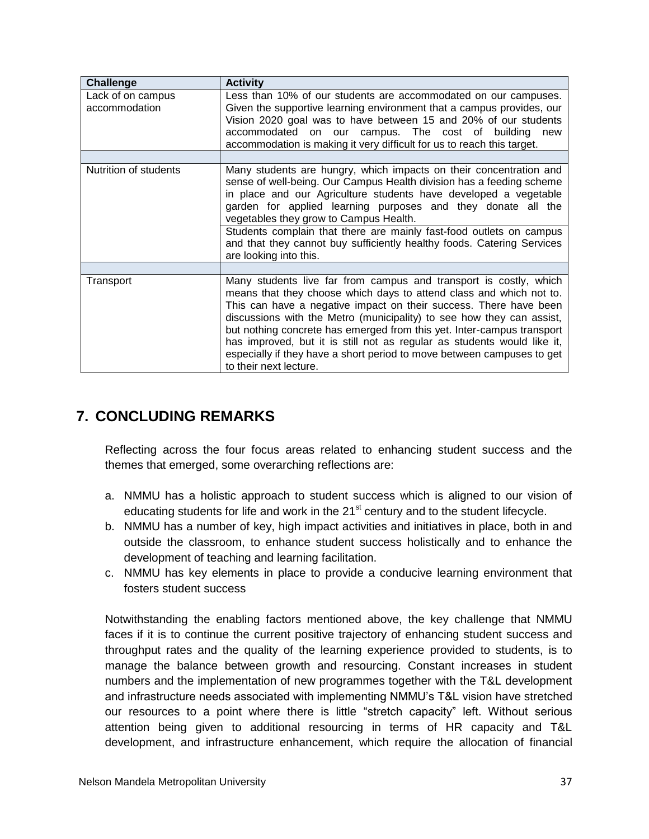| Challenge                          | <b>Activity</b>                                                                                                                                                                                                                                                                                                                                                                                                                                                                                                                                 |
|------------------------------------|-------------------------------------------------------------------------------------------------------------------------------------------------------------------------------------------------------------------------------------------------------------------------------------------------------------------------------------------------------------------------------------------------------------------------------------------------------------------------------------------------------------------------------------------------|
| Lack of on campus<br>accommodation | Less than 10% of our students are accommodated on our campuses.<br>Given the supportive learning environment that a campus provides, our<br>Vision 2020 goal was to have between 15 and 20% of our students<br>accommodated on our campus. The cost of building<br>new<br>accommodation is making it very difficult for us to reach this target.                                                                                                                                                                                                |
|                                    |                                                                                                                                                                                                                                                                                                                                                                                                                                                                                                                                                 |
| Nutrition of students              | Many students are hungry, which impacts on their concentration and<br>sense of well-being. Our Campus Health division has a feeding scheme<br>in place and our Agriculture students have developed a vegetable<br>garden for applied learning purposes and they donate all the<br>vegetables they grow to Campus Health.<br>Students complain that there are mainly fast-food outlets on campus<br>and that they cannot buy sufficiently healthy foods. Catering Services                                                                       |
|                                    | are looking into this.                                                                                                                                                                                                                                                                                                                                                                                                                                                                                                                          |
| Transport                          | Many students live far from campus and transport is costly, which<br>means that they choose which days to attend class and which not to.<br>This can have a negative impact on their success. There have been<br>discussions with the Metro (municipality) to see how they can assist,<br>but nothing concrete has emerged from this yet. Inter-campus transport<br>has improved, but it is still not as regular as students would like it,<br>especially if they have a short period to move between campuses to get<br>to their next lecture. |

## **7. CONCLUDING REMARKS**

Reflecting across the four focus areas related to enhancing student success and the themes that emerged, some overarching reflections are:

- a. NMMU has a holistic approach to student success which is aligned to our vision of educating students for life and work in the  $21<sup>st</sup>$  century and to the student lifecycle.
- b. NMMU has a number of key, high impact activities and initiatives in place, both in and outside the classroom, to enhance student success holistically and to enhance the development of teaching and learning facilitation.
- c. NMMU has key elements in place to provide a conducive learning environment that fosters student success

Notwithstanding the enabling factors mentioned above, the key challenge that NMMU faces if it is to continue the current positive trajectory of enhancing student success and throughput rates and the quality of the learning experience provided to students, is to manage the balance between growth and resourcing. Constant increases in student numbers and the implementation of new programmes together with the T&L development and infrastructure needs associated with implementing NMMU's T&L vision have stretched our resources to a point where there is little "stretch capacity" left. Without serious attention being given to additional resourcing in terms of HR capacity and T&L development, and infrastructure enhancement, which require the allocation of financial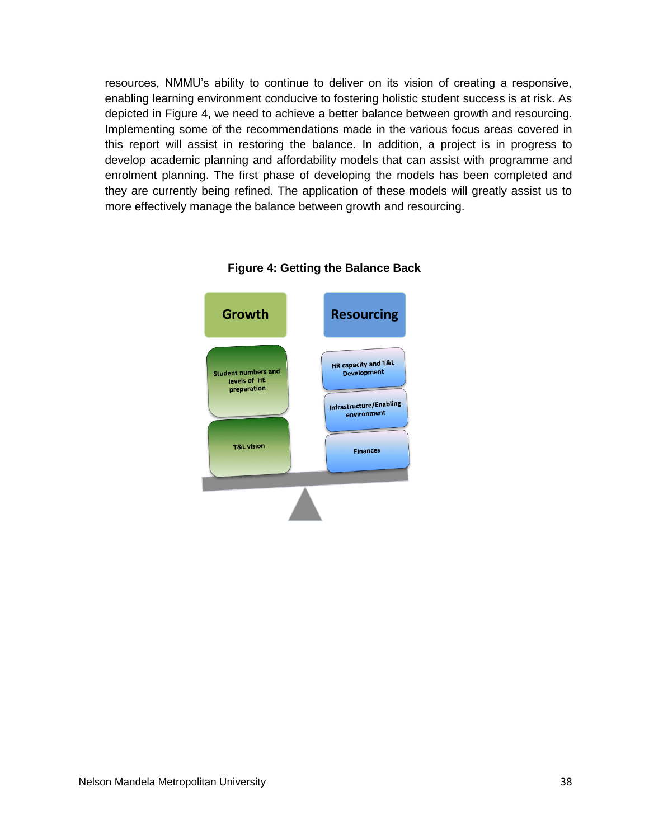resources, NMMU's ability to continue to deliver on its vision of creating a responsive, enabling learning environment conducive to fostering holistic student success is at risk. As depicted in Figure 4, we need to achieve a better balance between growth and resourcing. Implementing some of the recommendations made in the various focus areas covered in this report will assist in restoring the balance. In addition, a project is in progress to develop academic planning and affordability models that can assist with programme and enrolment planning. The first phase of developing the models has been completed and they are currently being refined. The application of these models will greatly assist us to more effectively manage the balance between growth and resourcing.



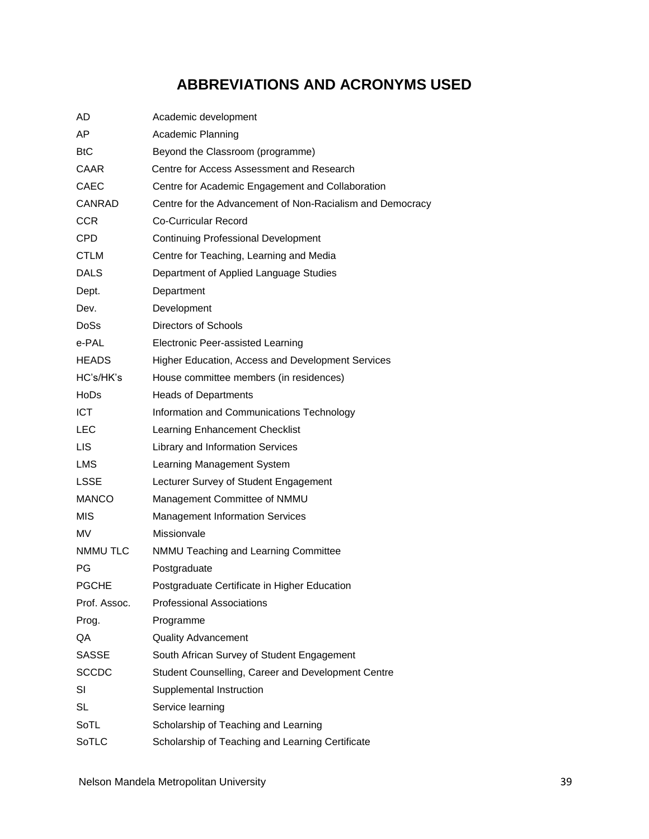# **ABBREVIATIONS AND ACRONYMS USED**

| AD               | Academic development                                      |
|------------------|-----------------------------------------------------------|
| AP               | Academic Planning                                         |
| <b>BtC</b>       | Beyond the Classroom (programme)                          |
| CAAR.            | Centre for Access Assessment and Research                 |
| <b>CAEC</b>      | Centre for Academic Engagement and Collaboration          |
| <b>CANRAD</b>    | Centre for the Advancement of Non-Racialism and Democracy |
| <b>CCR</b>       | <b>Co-Curricular Record</b>                               |
| <b>CPD</b>       | <b>Continuing Professional Development</b>                |
| CTLM             | Centre for Teaching, Learning and Media                   |
| <b>DALS</b>      | Department of Applied Language Studies                    |
| Dept.            | Department                                                |
| Dev.             | Development                                               |
| Do <sub>Ss</sub> | Directors of Schools                                      |
| e-PAL            | <b>Electronic Peer-assisted Learning</b>                  |
| <b>HEADS</b>     | Higher Education, Access and Development Services         |
| HC's/HK's        | House committee members (in residences)                   |
| HoDs             | <b>Heads of Departments</b>                               |
| <b>ICT</b>       | Information and Communications Technology                 |
| LEC              | Learning Enhancement Checklist                            |
| LIS.             | Library and Information Services                          |
| <b>LMS</b>       | Learning Management System                                |
| LSSE             | Lecturer Survey of Student Engagement                     |
| <b>MANCO</b>     | Management Committee of NMMU                              |
| <b>MIS</b>       | <b>Management Information Services</b>                    |
| MV               | Missionvale                                               |
| <b>NMMU TLC</b>  | NMMU Teaching and Learning Committee                      |
| PG               | Postgraduate                                              |
| <b>PGCHE</b>     | Postgraduate Certificate in Higher Education              |
| Prof. Assoc.     | <b>Professional Associations</b>                          |
| Prog.            | Programme                                                 |
| QA               | <b>Quality Advancement</b>                                |
| <b>SASSE</b>     | South African Survey of Student Engagement                |
| <b>SCCDC</b>     | Student Counselling, Career and Development Centre        |
| SI               | Supplemental Instruction                                  |
| SL               | Service learning                                          |
| SoTL             | Scholarship of Teaching and Learning                      |
| SoTLC            | Scholarship of Teaching and Learning Certificate          |